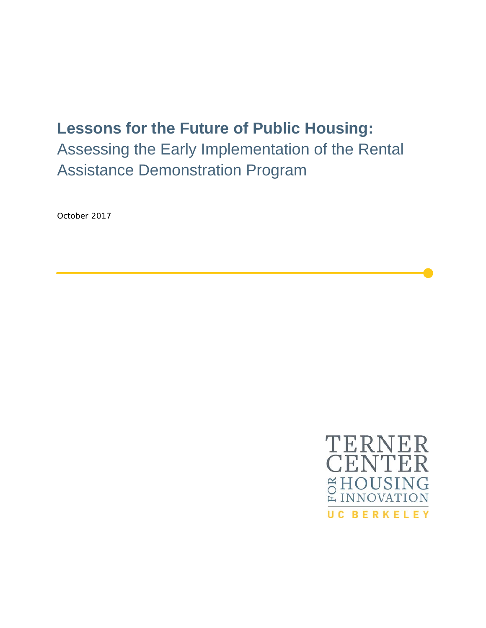# **Lessons for the Future of Public Housing:**

Assessing the Early Implementation of the Rental Assistance Demonstration Program

October 2017

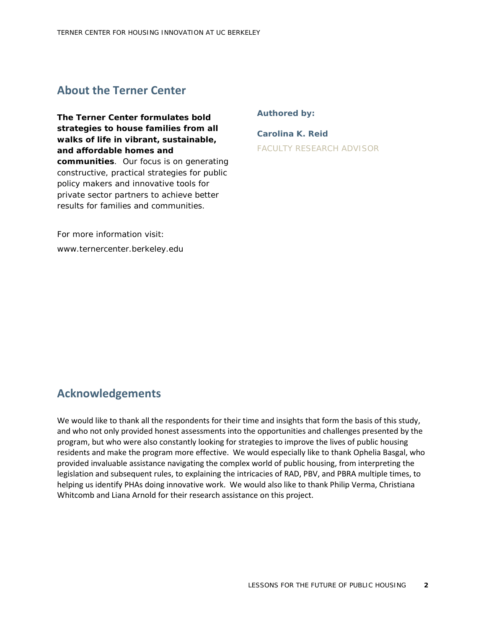## **About the Terner Center**

**The Terner Center formulates bold strategies to house families from all walks of life in vibrant, sustainable, and affordable homes and communities**. Our focus is on generating constructive, practical strategies for public policy makers and innovative tools for private sector partners to achieve better results for families and communities.

**Authored by:** 

**Carolina K. Reid** FACULTY RESEARCH ADVISOR

For more information visit: www.ternercenter.berkeley.edu

## **Acknowledgements**

We would like to thank all the respondents for their time and insights that form the basis of this study, and who not only provided honest assessments into the opportunities and challenges presented by the program, but who were also constantly looking for strategies to improve the lives of public housing residents and make the program more effective. We would especially like to thank Ophelia Basgal, who provided invaluable assistance navigating the complex world of public housing, from interpreting the legislation and subsequent rules, to explaining the intricacies of RAD, PBV, and PBRA multiple times, to helping us identify PHAs doing innovative work. We would also like to thank Philip Verma, Christiana Whitcomb and Liana Arnold for their research assistance on this project.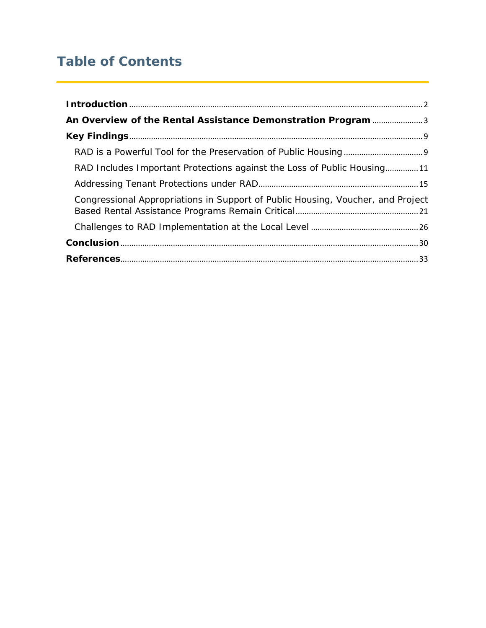# **Table of Contents**

| An Overview of the Rental Assistance Demonstration Program 3                    |
|---------------------------------------------------------------------------------|
|                                                                                 |
|                                                                                 |
| RAD Includes Important Protections against the Loss of Public Housing11         |
|                                                                                 |
| Congressional Appropriations in Support of Public Housing, Voucher, and Project |
|                                                                                 |
|                                                                                 |
|                                                                                 |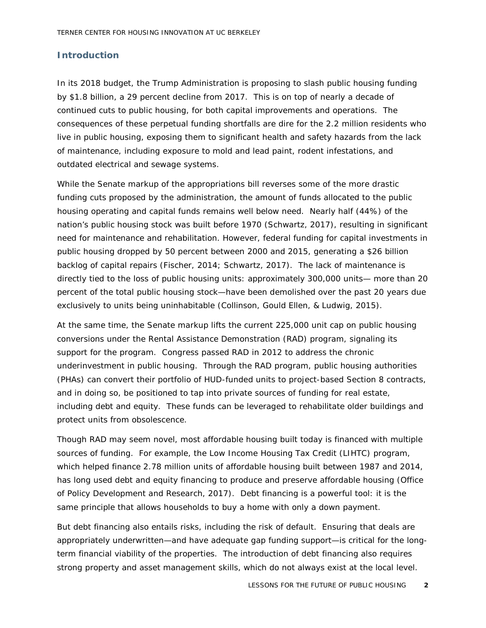#### <span id="page-3-0"></span>**Introduction**

In its 2018 budget, the Trump Administration is proposing to slash public housing funding by \$1.8 billion, a 29 percent decline from 2017. This is on top of nearly a decade of continued cuts to public housing, for both capital improvements and operations. The consequences of these perpetual funding shortfalls are dire for the 2.2 million residents who live in public housing, exposing them to significant health and safety hazards from the lack of maintenance, including exposure to mold and lead paint, rodent infestations, and outdated electrical and sewage systems.

While the Senate markup of the appropriations bill reverses some of the more drastic funding cuts proposed by the administration, the amount of funds allocated to the public housing operating and capital funds remains well below need. Nearly half (44%) of the nation's public housing stock was built before 1970 (Schwartz, 2017), resulting in significant need for maintenance and rehabilitation. However, federal funding for capital investments in public housing dropped by 50 percent between 2000 and 2015, generating a \$26 billion backlog of capital repairs (Fischer, 2014; Schwartz, 2017). The lack of maintenance is directly tied to the loss of public housing units: approximately 300,000 units— more than 20 percent of the total public housing stock—have been demolished over the past 20 years due exclusively to units being uninhabitable (Collinson, Gould Ellen, & Ludwig, 2015).

At the same time, the Senate markup lifts the current 225,000 unit cap on public housing conversions under the Rental Assistance Demonstration (RAD) program, signaling its support for the program. Congress passed RAD in 2012 to address the chronic underinvestment in public housing. Through the RAD program, public housing authorities (PHAs) can convert their portfolio of HUD-funded units to project-based Section 8 contracts, and in doing so, be positioned to tap into private sources of funding for real estate, including debt and equity. These funds can be leveraged to rehabilitate older buildings and protect units from obsolescence.

Though RAD may seem novel, most affordable housing built today is financed with multiple sources of funding. For example, the Low Income Housing Tax Credit (LIHTC) program, which helped finance 2.78 million units of affordable housing built between 1987 and 2014, has long used debt and equity financing to produce and preserve affordable housing (Office of Policy Development and Research, 2017). Debt financing is a powerful tool: it is the same principle that allows households to buy a home with only a down payment.

But debt financing also entails risks, including the risk of default. Ensuring that deals are appropriately underwritten—and have adequate gap funding support—is critical for the longterm financial viability of the properties. The introduction of debt financing also requires strong property and asset management skills, which do not always exist at the local level.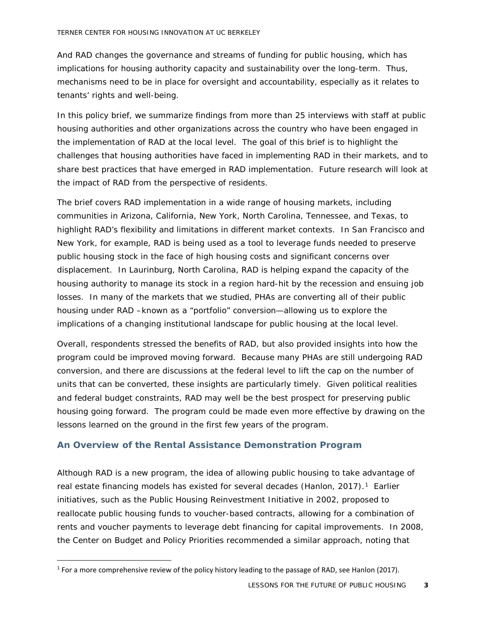And RAD changes the governance and streams of funding for public housing, which has implications for housing authority capacity and sustainability over the long-term. Thus, mechanisms need to be in place for oversight and accountability, especially as it relates to tenants' rights and well-being.

In this policy brief, we summarize findings from more than 25 interviews with staff at public housing authorities and other organizations across the country who have been engaged in the implementation of RAD at the local level. The goal of this brief is to highlight the challenges that housing authorities have faced in implementing RAD in their markets, and to share best practices that have emerged in RAD implementation. Future research will look at the impact of RAD from the perspective of residents.

The brief covers RAD implementation in a wide range of housing markets, including communities in Arizona, California, New York, North Carolina, Tennessee, and Texas, to highlight RAD's flexibility and limitations in different market contexts. In San Francisco and New York, for example, RAD is being used as a tool to leverage funds needed to preserve public housing stock in the face of high housing costs and significant concerns over displacement. In Laurinburg, North Carolina, RAD is helping expand the capacity of the housing authority to manage its stock in a region hard-hit by the recession and ensuing job losses. In many of the markets that we studied, PHAs are converting all of their public housing under RAD –known as a "portfolio" conversion—allowing us to explore the implications of a changing institutional landscape for public housing at the local level.

Overall, respondents stressed the benefits of RAD, but also provided insights into how the program could be improved moving forward. Because many PHAs are still undergoing RAD conversion, and there are discussions at the federal level to lift the cap on the number of units that can be converted, these insights are particularly timely. Given political realities and federal budget constraints, RAD may well be the best prospect for preserving public housing going forward. The program could be made even more effective by drawing on the lessons learned on the ground in the first few years of the program.

#### <span id="page-4-0"></span>**An Overview of the Rental Assistance Demonstration Program**

Although RAD is a new program, the idea of allowing public housing to take advantage of real estate financing models has existed for several decades (Hanlon, 20[1](#page-4-1)7).<sup>1</sup> Earlier initiatives, such as the Public Housing Reinvestment Initiative in 2002, proposed to reallocate public housing funds to voucher-based contracts, allowing for a combination of rents and voucher payments to leverage debt financing for capital improvements. In 2008, the Center on Budget and Policy Priorities recommended a similar approach, noting that

<span id="page-4-1"></span><sup>&</sup>lt;sup>1</sup> For a more comprehensive review of the policy history leading to the passage of RAD, see Hanlon (2017).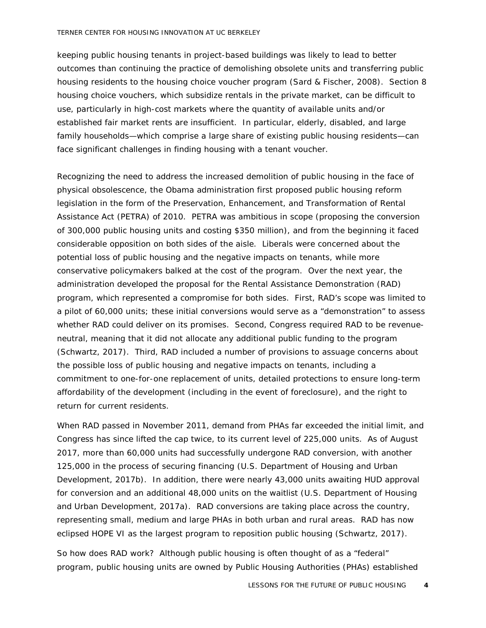#### TERNER CENTER FOR HOUSING INNOVATION AT UC BERKELEY

keeping public housing tenants in project-based buildings was likely to lead to better outcomes than continuing the practice of demolishing obsolete units and transferring public housing residents to the housing choice voucher program (Sard & Fischer, 2008). Section 8 housing choice vouchers, which subsidize rentals in the private market, can be difficult to use, particularly in high-cost markets where the quantity of available units and/or established fair market rents are insufficient. In particular, elderly, disabled, and large family households—which comprise a large share of existing public housing residents—can face significant challenges in finding housing with a tenant voucher.

Recognizing the need to address the increased demolition of public housing in the face of physical obsolescence, the Obama administration first proposed public housing reform legislation in the form of the Preservation, Enhancement, and Transformation of Rental Assistance Act (PETRA) of 2010. PETRA was ambitious in scope (proposing the conversion of 300,000 public housing units and costing \$350 million), and from the beginning it faced considerable opposition on both sides of the aisle. Liberals were concerned about the potential loss of public housing and the negative impacts on tenants, while more conservative policymakers balked at the cost of the program. Over the next year, the administration developed the proposal for the Rental Assistance Demonstration (RAD) program, which represented a compromise for both sides. First, RAD's scope was limited to a pilot of 60,000 units; these initial conversions would serve as a "demonstration" to assess whether RAD could deliver on its promises. Second, Congress required RAD to be revenueneutral, meaning that it did not allocate any additional public funding to the program (Schwartz, 2017). Third, RAD included a number of provisions to assuage concerns about the possible loss of public housing and negative impacts on tenants, including a commitment to one-for-one replacement of units, detailed protections to ensure long-term affordability of the development (including in the event of foreclosure), and the right to return for current residents.

When RAD passed in November 2011, demand from PHAs far exceeded the initial limit, and Congress has since lifted the cap twice, to its current level of 225,000 units. As of August 2017, more than 60,000 units had successfully undergone RAD conversion, with another 125,000 in the process of securing financing (U.S. Department of Housing and Urban Development, 2017b). In addition, there were nearly 43,000 units awaiting HUD approval for conversion and an additional 48,000 units on the waitlist (U.S. Department of Housing and Urban Development, 2017a). RAD conversions are taking place across the country, representing small, medium and large PHAs in both urban and rural areas. RAD has now eclipsed HOPE VI as the largest program to reposition public housing (Schwartz, 2017).

So how does RAD work? Although public housing is often thought of as a "federal" program, public housing units are owned by Public Housing Authorities (PHAs) established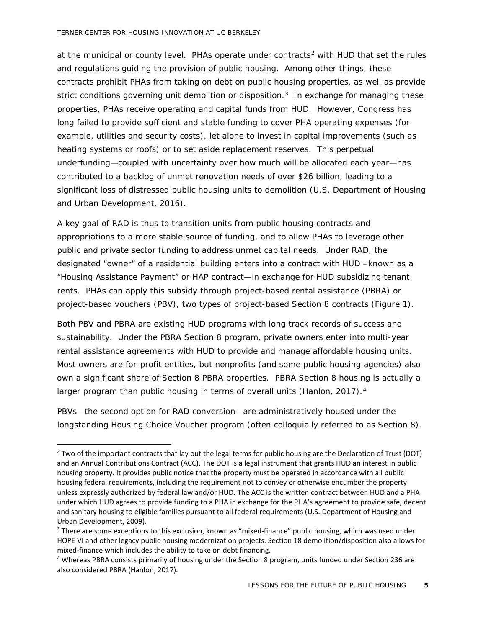at the municipal or county level. PHAs operate under contracts<sup>[2](#page-6-0)</sup> with HUD that set the rules and regulations guiding the provision of public housing. Among other things, these contracts prohibit PHAs from taking on debt on public housing properties, as well as provide strict conditions governing unit demolition or disposition.<sup>[3](#page-6-1)</sup> In exchange for managing these properties, PHAs receive operating and capital funds from HUD. However, Congress has long failed to provide sufficient and stable funding to cover PHA operating expenses (for example, utilities and security costs), let alone to invest in capital improvements (such as heating systems or roofs) or to set aside replacement reserves. This perpetual underfunding—coupled with uncertainty over how much will be allocated each year—has contributed to a backlog of unmet renovation needs of over \$26 billion, leading to a significant loss of distressed public housing units to demolition (U.S. Department of Housing and Urban Development, 2016).

A key goal of RAD is thus to transition units from public housing contracts and appropriations to a more stable source of funding, and to allow PHAs to leverage other public and private sector funding to address unmet capital needs. Under RAD, the designated "owner" of a residential building enters into a contract with HUD –known as a "Housing Assistance Payment" or HAP contract—in exchange for HUD subsidizing tenant rents. PHAs can apply this subsidy through project-based rental assistance (PBRA) or project-based vouchers (PBV), two types of project-based Section 8 contracts (Figure 1).

Both PBV and PBRA are existing HUD programs with long track records of success and sustainability. Under the PBRA Section 8 program, private owners enter into multi-year rental assistance agreements with HUD to provide and manage affordable housing units. Most owners are for-profit entities, but nonprofits (and some public housing agencies) also own a significant share of Section 8 PBRA properties. PBRA Section 8 housing is actually a larger program than public housing in terms of overall units (Hanlon, 2017).<sup>[4](#page-6-2)</sup>

PBVs—the second option for RAD conversion—are administratively housed under the longstanding Housing Choice Voucher program (often colloquially referred to as Section 8).

<span id="page-6-0"></span><sup>&</sup>lt;sup>2</sup> Two of the important contracts that lay out the legal terms for public housing are the Declaration of Trust (DOT) and an Annual Contributions Contract (ACC). The DOT is a legal instrument that grants HUD an interest in public housing property. It provides public notice that the property must be operated in accordance with all public housing federal requirements, including the requirement not to convey or otherwise encumber the property unless expressly authorized by federal law and/or HUD. The ACC is the written contract between HUD and a PHA under which HUD agrees to provide funding to a PHA in exchange for the PHA's agreement to provide safe, decent and sanitary housing to eligible families pursuant to all federal requirements (U.S. Department of Housing and Urban Development, 2009).<br><sup>3</sup> There are some exceptions to this exclusion, known as "mixed-finance" public housing, which was used under

<span id="page-6-1"></span>HOPE VI and other legacy public housing modernization projects. Section 18 demolition/disposition also allows for mixed-finance which includes the ability to take on debt financing.<br>4 Whereas PBRA consists primarily of housing under the Section 8 program, units funded under Section 236 are

<span id="page-6-2"></span>also considered PBRA (Hanlon, 2017).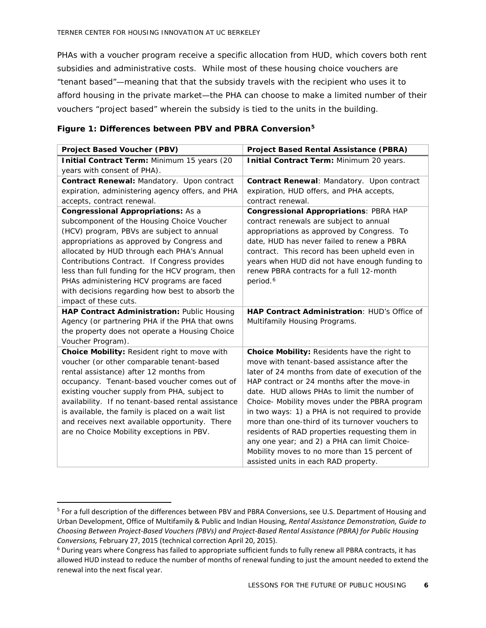PHAs with a voucher program receive a specific allocation from HUD, which covers both rent subsidies and administrative costs. While most of these housing choice vouchers are "tenant based"—meaning that that the subsidy travels with the recipient who uses it to afford housing in the private market—the PHA can choose to make a limited number of their vouchers "project based" wherein the subsidy is tied to the units in the building.

|  |  |  | Figure 1: Differences between PBV and PBRA Conversion <sup>5</sup> |  |
|--|--|--|--------------------------------------------------------------------|--|
|  |  |  |                                                                    |  |

| <b>Project Based Voucher (PBV)</b>                 | <b>Project Based Rental Assistance (PBRA)</b>       |  |  |
|----------------------------------------------------|-----------------------------------------------------|--|--|
| Initial Contract Term: Minimum 15 years (20        | Initial Contract Term: Minimum 20 years.            |  |  |
| years with consent of PHA).                        |                                                     |  |  |
| Contract Renewal: Mandatory. Upon contract         | Contract Renewal: Mandatory. Upon contract          |  |  |
| expiration, administering agency offers, and PHA   | expiration, HUD offers, and PHA accepts,            |  |  |
| accepts, contract renewal.                         | contract renewal.                                   |  |  |
| <b>Congressional Appropriations: As a</b>          | <b>Congressional Appropriations: PBRA HAP</b>       |  |  |
| subcomponent of the Housing Choice Voucher         | contract renewals are subject to annual             |  |  |
| (HCV) program, PBVs are subject to annual          | appropriations as approved by Congress. To          |  |  |
| appropriations as approved by Congress and         | date, HUD has never failed to renew a PBRA          |  |  |
| allocated by HUD through each PHA's Annual         | contract. This record has been upheld even in       |  |  |
| Contributions Contract. If Congress provides       | years when HUD did not have enough funding to       |  |  |
| less than full funding for the HCV program, then   | renew PBRA contracts for a full 12-month            |  |  |
| PHAs administering HCV programs are faced          | period. <sup>6</sup>                                |  |  |
| with decisions regarding how best to absorb the    |                                                     |  |  |
| impact of these cuts.                              |                                                     |  |  |
| HAP Contract Administration: Public Housing        | <b>HAP Contract Administration: HUD's Office of</b> |  |  |
| Agency (or partnering PHA if the PHA that owns     | Multifamily Housing Programs.                       |  |  |
| the property does not operate a Housing Choice     |                                                     |  |  |
| Voucher Program).                                  |                                                     |  |  |
| Choice Mobility: Resident right to move with       | Choice Mobility: Residents have the right to        |  |  |
| voucher (or other comparable tenant-based          | move with tenant-based assistance after the         |  |  |
| rental assistance) after 12 months from            | later of 24 months from date of execution of the    |  |  |
| occupancy. Tenant-based voucher comes out of       | HAP contract or 24 months after the move-in         |  |  |
| existing voucher supply from PHA, subject to       | date. HUD allows PHAs to limit the number of        |  |  |
| availability. If no tenant-based rental assistance | Choice- Mobility moves under the PBRA program       |  |  |
| is available, the family is placed on a wait list  | in two ways: 1) a PHA is not required to provide    |  |  |
| and receives next available opportunity. There     | more than one-third of its turnover vouchers to     |  |  |
| are no Choice Mobility exceptions in PBV.          | residents of RAD properties requesting them in      |  |  |
|                                                    | any one year; and 2) a PHA can limit Choice-        |  |  |
|                                                    | Mobility moves to no more than 15 percent of        |  |  |
|                                                    | assisted units in each RAD property.                |  |  |

<span id="page-7-0"></span> <sup>5</sup> For a full description of the differences between PBV and PBRA Conversions, see U.S. Department of Housing and Urban Development, Office of Multifamily & Public and Indian Housing, *Rental Assistance Demonstration, Guide to Choosing Between Project-Based Vouchers (PBVs) and Project-Based Rental Assistance (PBRA) for Public Housing Conversions,* February 27, 2015 (technical correction April 20, 2015).

<span id="page-7-1"></span><sup>&</sup>lt;sup>6</sup> During years where Congress has failed to appropriate sufficient funds to fully renew all PBRA contracts, it has allowed HUD instead to reduce the number of months of renewal funding to just the amount needed to extend the renewal into the next fiscal year.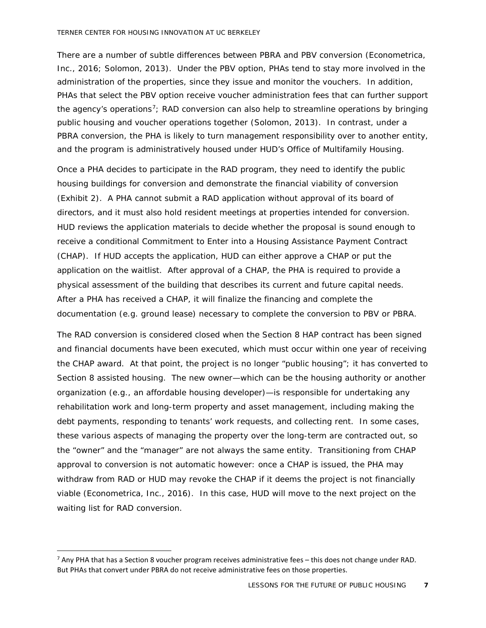There are a number of subtle differences between PBRA and PBV conversion (Econometrica, Inc., 2016; Solomon, 2013). Under the PBV option, PHAs tend to stay more involved in the administration of the properties, since they issue and monitor the vouchers. In addition, PHAs that select the PBV option receive voucher administration fees that can further support the agency's operations<sup>[7](#page-8-0)</sup>; RAD conversion can also help to streamline operations by bringing public housing and voucher operations together (Solomon, 2013). In contrast, under a PBRA conversion, the PHA is likely to turn management responsibility over to another entity, and the program is administratively housed under HUD's Office of Multifamily Housing.

Once a PHA decides to participate in the RAD program, they need to identify the public housing buildings for conversion and demonstrate the financial viability of conversion (Exhibit 2). A PHA cannot submit a RAD application without approval of its board of directors, and it must also hold resident meetings at properties intended for conversion. HUD reviews the application materials to decide whether the proposal is sound enough to receive a conditional Commitment to Enter into a Housing Assistance Payment Contract (CHAP). If HUD accepts the application, HUD can either approve a CHAP or put the application on the waitlist. After approval of a CHAP, the PHA is required to provide a physical assessment of the building that describes its current and future capital needs. After a PHA has received a CHAP, it will finalize the financing and complete the documentation (e.g. ground lease) necessary to complete the conversion to PBV or PBRA.

The RAD conversion is considered closed when the Section 8 HAP contract has been signed and financial documents have been executed, which must occur within one year of receiving the CHAP award. At that point, the project is no longer "public housing"; it has converted to Section 8 assisted housing. The new owner—which can be the housing authority or another organization (e.g., an affordable housing developer)—is responsible for undertaking any rehabilitation work and long-term property and asset management, including making the debt payments, responding to tenants' work requests, and collecting rent. In some cases, these various aspects of managing the property over the long-term are contracted out, so the "owner" and the "manager" are not always the same entity. Transitioning from CHAP approval to conversion is not automatic however: once a CHAP is issued, the PHA may withdraw from RAD or HUD may revoke the CHAP if it deems the project is not financially viable (Econometrica, Inc., 2016). In this case, HUD will move to the next project on the waiting list for RAD conversion.

<span id="page-8-0"></span> $<sup>7</sup>$  Any PHA that has a Section 8 voucher program receives administrative fees – this does not change under RAD.</sup> But PHAs that convert under PBRA do not receive administrative fees on those properties.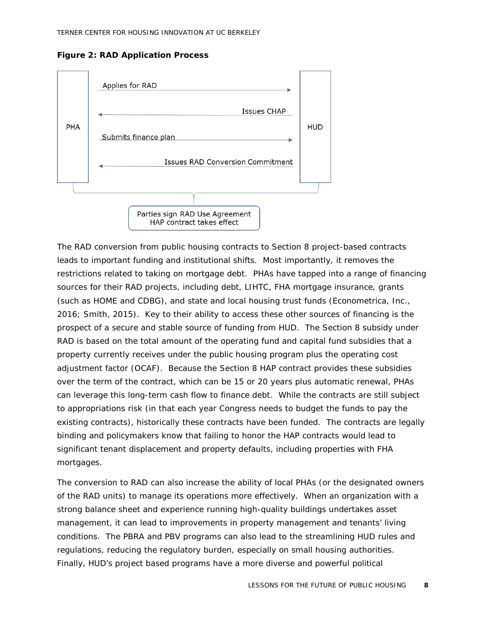**Figure 2: RAD Application Process**



The RAD conversion from public housing contracts to Section 8 project-based contracts leads to important funding and institutional shifts. Most importantly, it removes the restrictions related to taking on mortgage debt. PHAs have tapped into a range of financing sources for their RAD projects, including debt, LIHTC, FHA mortgage insurance, grants (such as HOME and CDBG), and state and local housing trust funds (Econometrica, Inc., 2016; Smith, 2015). Key to their ability to access these other sources of financing is the prospect of a secure and stable source of funding from HUD. The Section 8 subsidy under RAD is based on the total amount of the operating fund and capital fund subsidies that a property currently receives under the public housing program *plus* the operating cost adjustment factor (OCAF). Because the Section 8 HAP contract provides these subsidies over the term of the contract, which can be 15 or 20 years plus automatic renewal, PHAs can leverage this long-term cash flow to finance debt. While the contracts are still subject to appropriations risk (in that each year Congress needs to budget the funds to pay the existing contracts), historically these contracts have been funded. The contracts are legally binding and policymakers know that failing to honor the HAP contracts would lead to significant tenant displacement and property defaults, including properties with FHA mortgages.

The conversion to RAD can also increase the ability of local PHAs (or the designated owners of the RAD units) to manage its operations more effectively. When an organization with a strong balance sheet and experience running high-quality buildings undertakes asset management, it can lead to improvements in property management and tenants' living conditions. The PBRA and PBV programs can also lead to the streamlining HUD rules and regulations, reducing the regulatory burden, especially on small housing authorities. Finally, HUD's project based programs have a more diverse and powerful political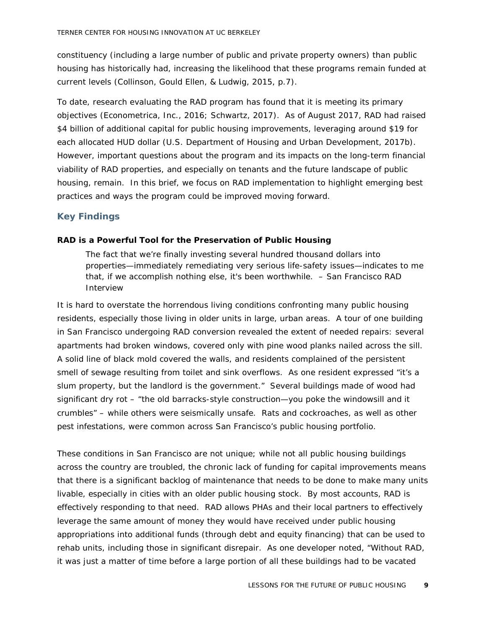constituency (including a large number of public and private property owners) than public housing has historically had, increasing the likelihood that these programs remain funded at current levels (Collinson, Gould Ellen, & Ludwig, 2015, p.7).

To date, research evaluating the RAD program has found that it is meeting its primary objectives (Econometrica, Inc., 2016; Schwartz, 2017). As of August 2017, RAD had raised \$4 billion of additional capital for public housing improvements, leveraging around \$19 for each allocated HUD dollar (U.S. Department of Housing and Urban Development, 2017b). However, important questions about the program and its impacts on the long-term financial viability of RAD properties, and especially on tenants and the future landscape of public housing, remain. In this brief, we focus on RAD implementation to highlight emerging best practices and ways the program could be improved moving forward.

#### <span id="page-10-0"></span>**Key Findings**

#### <span id="page-10-1"></span>**RAD is a Powerful Tool for the Preservation of Public Housing**

*The fact that we're finally investing several hundred thousand dollars into properties—immediately remediating very serious life-safety issues—indicates to me that, if we accomplish nothing else, it's been worthwhile. – San Francisco RAD Interview*

It is hard to overstate the horrendous living conditions confronting many public housing residents, especially those living in older units in large, urban areas. A tour of one building in San Francisco undergoing RAD conversion revealed the extent of needed repairs: several apartments had broken windows, covered only with pine wood planks nailed across the sill. A solid line of black mold covered the walls, and residents complained of the persistent smell of sewage resulting from toilet and sink overflows. As one resident expressed "it's a slum property, but the landlord is the government." Several buildings made of wood had significant dry rot – "the old barracks-style construction—you poke the windowsill and it crumbles" – while others were seismically unsafe. Rats and cockroaches, as well as other pest infestations, were common across San Francisco's public housing portfolio.

These conditions in San Francisco are not unique; while not all public housing buildings across the country are troubled, the chronic lack of funding for capital improvements means that there is a significant backlog of maintenance that needs to be done to make many units livable, especially in cities with an older public housing stock. By most accounts, RAD is effectively responding to that need. RAD allows PHAs and their local partners to effectively leverage the same amount of money they would have received under public housing appropriations into additional funds (through debt and equity financing) that can be used to rehab units, including those in significant disrepair. As one developer noted, "Without RAD, it was just a matter of time before a large portion of all these buildings had to be vacated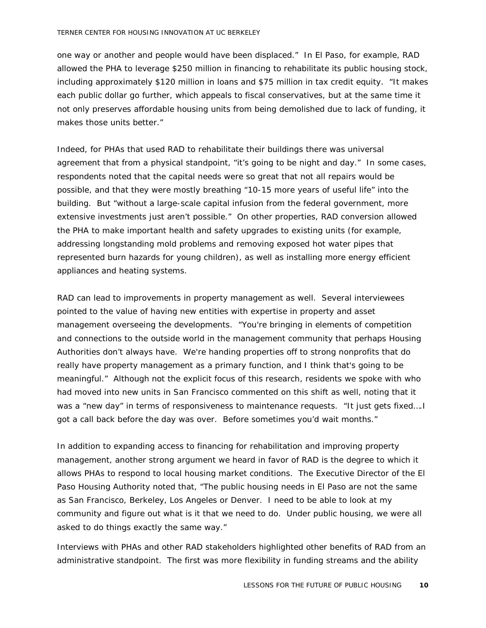one way or another and people would have been displaced." In El Paso, for example, RAD allowed the PHA to leverage \$250 million in financing to rehabilitate its public housing stock, including approximately \$120 million in loans and \$75 million in tax credit equity. "It makes each public dollar go further, which appeals to fiscal conservatives, but at the same time it not only preserves affordable housing units from being demolished due to lack of funding, it makes those units better."

Indeed, for PHAs that used RAD to rehabilitate their buildings there was universal agreement that from a physical standpoint, "it's going to be night and day." In some cases, respondents noted that the capital needs were so great that not all repairs would be possible, and that they were mostly breathing "10-15 more years of useful life" into the building. But "without a large-scale capital infusion from the federal government, more extensive investments just aren't possible." On other properties, RAD conversion allowed the PHA to make important health and safety upgrades to existing units (for example, addressing longstanding mold problems and removing exposed hot water pipes that represented burn hazards for young children), as well as installing more energy efficient appliances and heating systems.

RAD can lead to improvements in property management as well. Several interviewees pointed to the value of having new entities with expertise in property and asset management overseeing the developments. "You're bringing in elements of competition and connections to the outside world in the management community that perhaps Housing Authorities don't always have. We're handing properties off to strong nonprofits that do really have property management as a primary function, and I think that's going to be meaningful." Although not the explicit focus of this research, residents we spoke with who had moved into new units in San Francisco commented on this shift as well, noting that it was a "new day" in terms of responsiveness to maintenance requests. "It just gets fixed.... I got a call back before the day was over. Before sometimes you'd wait months."

In addition to expanding access to financing for rehabilitation and improving property management, another strong argument we heard in favor of RAD is the degree to which it allows PHAs to respond to local housing market conditions. The Executive Director of the El Paso Housing Authority noted that, "The public housing needs in El Paso are not the same as San Francisco, Berkeley, Los Angeles or Denver. I need to be able to look at my community and figure out what is it that we need to do. Under public housing, we were all asked to do things exactly the same way."

Interviews with PHAs and other RAD stakeholders highlighted other benefits of RAD from an administrative standpoint. The first was more flexibility in funding streams and the ability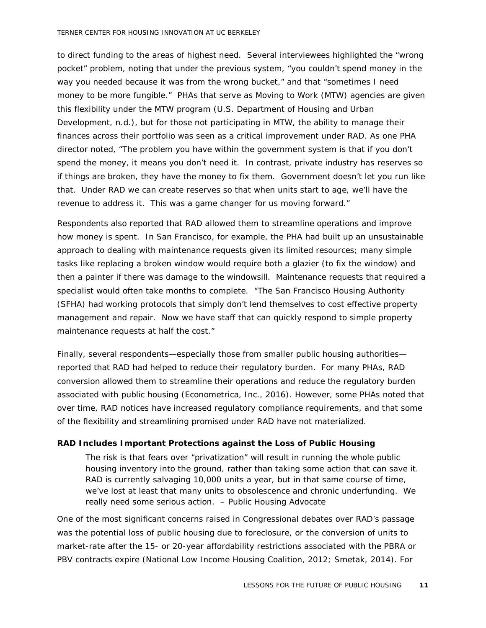#### TERNER CENTER FOR HOUSING INNOVATION AT UC BERKELEY

to direct funding to the areas of highest need. Several interviewees highlighted the "wrong pocket" problem, noting that under the previous system, "you couldn't spend money in the way you needed because it was from the wrong bucket," and that "sometimes I need money to be more fungible." PHAs that serve as Moving to Work (MTW) agencies are given this flexibility under the MTW program (U.S. Department of Housing and Urban Development, n.d.), but for those not participating in MTW, the ability to manage their finances across their portfolio was seen as a critical improvement under RAD. As one PHA director noted, "The problem you have within the government system is that if you don't spend the money, it means you don't need it. In contrast, private industry has reserves so if things are broken, they have the money to fix them. Government doesn't let you run like that. Under RAD we can create reserves so that when units start to age, we'll have the revenue to address it. This was a game changer for us moving forward."

Respondents also reported that RAD allowed them to streamline operations and improve how money is spent. In San Francisco, for example, the PHA had built up an unsustainable approach to dealing with maintenance requests given its limited resources; many simple tasks like replacing a broken window would require both a glazier (to fix the window) and then a painter if there was damage to the windowsill. Maintenance requests that required a specialist would often take months to complete. "The San Francisco Housing Authority (SFHA) had working protocols that simply don't lend themselves to cost effective property management and repair. Now we have staff that can quickly respond to simple property maintenance requests at half the cost."

Finally, several respondents—especially those from smaller public housing authorities reported that RAD had helped to reduce their regulatory burden. For many PHAs, RAD conversion allowed them to streamline their operations and reduce the regulatory burden associated with public housing (Econometrica, Inc., 2016). However, some PHAs noted that over time, RAD notices have increased regulatory compliance requirements, and that some of the flexibility and streamlining promised under RAD have not materialized.

#### <span id="page-12-0"></span>**RAD Includes Important Protections against the Loss of Public Housing**

*The risk is that fears over "privatization" will result in running the whole public housing inventory into the ground, rather than taking some action that can save it. RAD is currently salvaging 10,000 units a year, but in that same course of time, we've lost at least that many units to obsolescence and chronic underfunding. We really need some serious action. – Public Housing Advocate*

One of the most significant concerns raised in Congressional debates over RAD's passage was the potential loss of public housing due to foreclosure, or the conversion of units to market-rate after the 15- or 20-year affordability restrictions associated with the PBRA or PBV contracts expire (National Low Income Housing Coalition, 2012; Smetak, 2014). For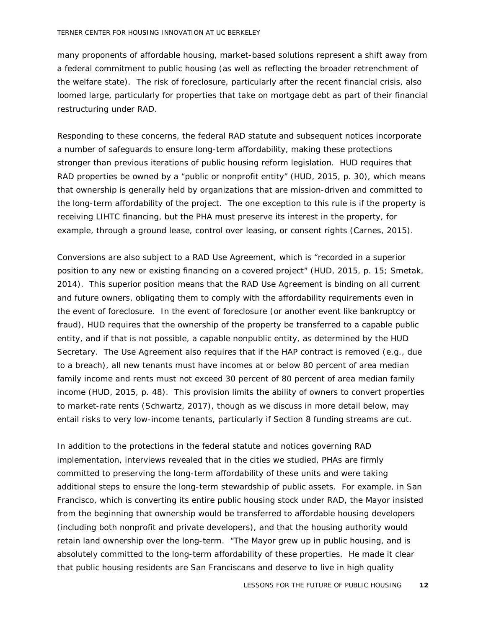many proponents of affordable housing, market-based solutions represent a shift away from a federal commitment to public housing (as well as reflecting the broader retrenchment of the welfare state). The risk of foreclosure, particularly after the recent financial crisis, also loomed large, particularly for properties that take on mortgage debt as part of their financial restructuring under RAD.

Responding to these concerns, the federal RAD statute and subsequent notices incorporate a number of safeguards to ensure long-term affordability, making these protections stronger than previous iterations of public housing reform legislation. HUD requires that RAD properties be owned by a "public or nonprofit entity" (HUD, 2015, p. 30), which means that ownership is generally held by organizations that are mission-driven and committed to the long-term affordability of the project. The one exception to this rule is if the property is receiving LIHTC financing, but the PHA must preserve its interest in the property, for example, through a ground lease, control over leasing, or consent rights (Carnes, 2015).

Conversions are also subject to a RAD Use Agreement, which is "recorded in a superior position to any new or existing financing on a covered project" (HUD, 2015, p. 15; Smetak, 2014). This superior position means that the RAD Use Agreement is binding on all current and future owners, obligating them to comply with the affordability requirements even in the event of foreclosure. In the event of foreclosure (or another event like bankruptcy or fraud), HUD requires that the ownership of the property be transferred to a capable public entity, and if that is not possible, a capable nonpublic entity, as determined by the HUD Secretary. The Use Agreement also requires that if the HAP contract is removed (e.g., due to a breach), all new tenants must have incomes at or below 80 percent of area median family income and rents must not exceed 30 percent of 80 percent of area median family income (HUD, 2015, p. 48). This provision limits the ability of owners to convert properties to market-rate rents (Schwartz, 2017), though as we discuss in more detail below, may entail risks to very low-income tenants, particularly if Section 8 funding streams are cut.

In addition to the protections in the federal statute and notices governing RAD implementation, interviews revealed that in the cities we studied, PHAs are firmly committed to preserving the long-term affordability of these units and were taking additional steps to ensure the long-term stewardship of public assets. For example, in San Francisco, which is converting its entire public housing stock under RAD, the Mayor insisted from the beginning that ownership would be transferred to affordable housing developers (including both nonprofit and private developers), and that the housing authority would retain land ownership over the long-term. "The Mayor grew up in public housing, and is absolutely committed to the long-term affordability of these properties. He made it clear that public housing residents are San Franciscans and deserve to live in high quality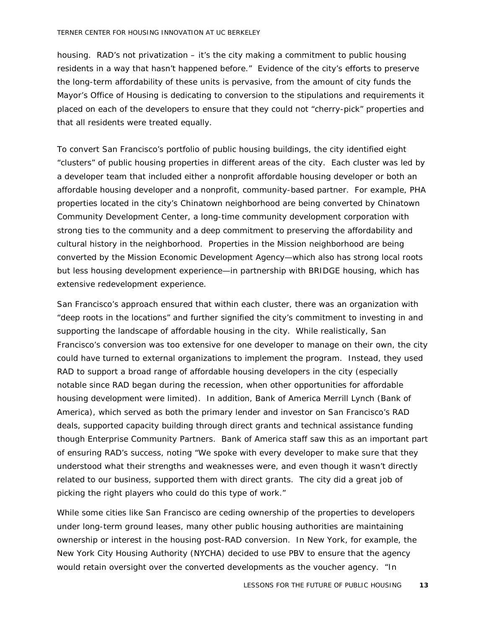housing. RAD's not privatization – it's the city making a commitment to public housing residents in a way that hasn't happened before." Evidence of the city's efforts to preserve the long-term affordability of these units is pervasive, from the amount of city funds the Mayor's Office of Housing is dedicating to conversion to the stipulations and requirements it placed on each of the developers to ensure that they could not "cherry-pick" properties and that all residents were treated equally.

To convert San Francisco's portfolio of public housing buildings, the city identified eight "clusters" of public housing properties in different areas of the city. Each cluster was led by a developer team that included either a nonprofit affordable housing developer or both an affordable housing developer and a nonprofit, community-based partner. For example, PHA properties located in the city's Chinatown neighborhood are being converted by Chinatown Community Development Center, a long-time community development corporation with strong ties to the community and a deep commitment to preserving the affordability and cultural history in the neighborhood. Properties in the Mission neighborhood are being converted by the Mission Economic Development Agency—which also has strong local roots but less housing development experience—in partnership with BRIDGE housing, which has extensive redevelopment experience.

San Francisco's approach ensured that within each cluster, there was an organization with "deep roots in the locations" and further signified the city's commitment to investing in and supporting the landscape of affordable housing in the city. While realistically, San Francisco's conversion was too extensive for one developer to manage on their own, the city could have turned to external organizations to implement the program. Instead, they used RAD to support a broad range of affordable housing developers in the city (especially notable since RAD began during the recession, when other opportunities for affordable housing development were limited). In addition, Bank of America Merrill Lynch (Bank of America), which served as both the primary lender and investor on San Francisco's RAD deals, supported capacity building through direct grants and technical assistance funding though Enterprise Community Partners. Bank of America staff saw this as an important part of ensuring RAD's success, noting "We spoke with every developer to make sure that they understood what their strengths and weaknesses were, and even though it wasn't directly related to our business, supported them with direct grants. The city did a great job of picking the right players who could do this type of work."

While some cities like San Francisco are ceding ownership of the properties to developers under long-term ground leases, many other public housing authorities are maintaining ownership or interest in the housing post-RAD conversion. In New York, for example, the New York City Housing Authority (NYCHA) decided to use PBV to ensure that the agency would retain oversight over the converted developments as the voucher agency. "In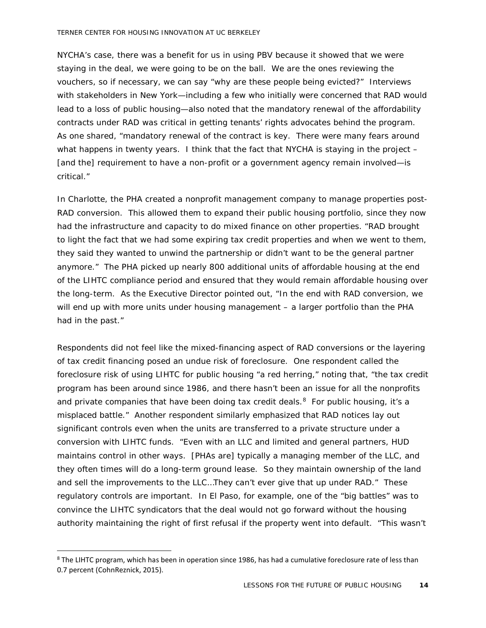#### TERNER CENTER FOR HOUSING INNOVATION AT UC BERKELEY

NYCHA's case, there was a benefit for us in using PBV because it showed that we were staying in the deal, we were going to be on the ball. We are the ones reviewing the vouchers, so if necessary, we can say "why are these people being evicted?" Interviews with stakeholders in New York—including a few who initially were concerned that RAD would lead to a loss of public housing—also noted that the mandatory renewal of the affordability contracts under RAD was critical in getting tenants' rights advocates behind the program. As one shared, "mandatory renewal of the contract is key. There were many fears around what happens in twenty years. I think that the fact that NYCHA is staying in the project  $-$ [and the] requirement to have a non-profit or a government agency remain involved—is critical."

In Charlotte, the PHA created a nonprofit management company to manage properties post-RAD conversion. This allowed them to expand their public housing portfolio, since they now had the infrastructure and capacity to do mixed finance on other properties. "RAD brought to light the fact that we had some expiring tax credit properties and when we went to them, they said they wanted to unwind the partnership or didn't want to be the general partner anymore." The PHA picked up nearly 800 additional units of affordable housing at the end of the LIHTC compliance period and ensured that they would remain affordable housing over the long-term. As the Executive Director pointed out, "In the end with RAD conversion, we will end up with more units under housing management – a larger portfolio than the PHA had in the past."

Respondents did not feel like the mixed-financing aspect of RAD conversions or the layering of tax credit financing posed an undue risk of foreclosure. One respondent called the foreclosure risk of using LIHTC for public housing "a red herring," noting that, "the tax credit program has been around since 1986, and there hasn't been an issue for all the nonprofits and private companies that have been doing tax credit deals.<sup>[8](#page-15-0)</sup> For public housing, it's a misplaced battle." Another respondent similarly emphasized that RAD notices lay out significant controls even when the units are transferred to a private structure under a conversion with LIHTC funds. "Even with an LLC and limited and general partners, HUD maintains control in other ways. [PHAs are] typically a managing member of the LLC, and they often times will do a long-term ground lease. So they maintain ownership of the land and sell the improvements to the LLC…They can't ever give that up under RAD." These regulatory controls are important. In El Paso, for example, one of the "big battles" was to convince the LIHTC syndicators that the deal would not go forward without the housing authority maintaining the right of first refusal if the property went into default. "This wasn't

<span id="page-15-0"></span><sup>&</sup>lt;sup>8</sup> The LIHTC program, which has been in operation since 1986, has had a cumulative foreclosure rate of less than 0.7 percent (CohnReznick, 2015).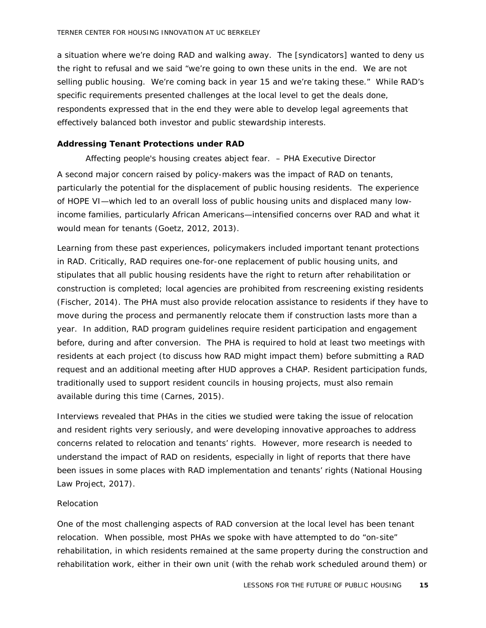a situation where we're doing RAD and walking away. The [syndicators] wanted to deny us the right to refusal and we said "we're going to own these units in the end. We are not selling public housing. We're coming back in year 15 and we're taking these." While RAD's specific requirements presented challenges at the local level to get the deals done, respondents expressed that in the end they were able to develop legal agreements that effectively balanced both investor and public stewardship interests.

#### <span id="page-16-0"></span>**Addressing Tenant Protections under RAD**

*Affecting people's housing creates abject fear. – PHA Executive Director* A second major concern raised by policy-makers was the impact of RAD on tenants, particularly the potential for the displacement of public housing residents. The experience of HOPE VI—which led to an overall loss of public housing units and displaced many lowincome families, particularly African Americans—intensified concerns over RAD and what it would mean for tenants (Goetz, 2012, 2013).

Learning from these past experiences, policymakers included important tenant protections in RAD. Critically, RAD requires one-for-one replacement of public housing units, and stipulates that all public housing residents have the right to return after rehabilitation or construction is completed; local agencies are prohibited from rescreening existing residents (Fischer, 2014). The PHA must also provide relocation assistance to residents if they have to move during the process and permanently relocate them if construction lasts more than a year. In addition, RAD program guidelines require resident participation and engagement before, during and after conversion. The PHA is required to hold at least two meetings with residents at each project (to discuss how RAD might impact them) before submitting a RAD request and an additional meeting after HUD approves a CHAP. Resident participation funds, traditionally used to support resident councils in housing projects, must also remain available during this time (Carnes, 2015).

Interviews revealed that PHAs in the cities we studied were taking the issue of relocation and resident rights very seriously, and were developing innovative approaches to address concerns related to relocation and tenants' rights. However, more research is needed to understand the impact of RAD on residents, especially in light of reports that there have been issues in some places with RAD implementation and tenants' rights (National Housing Law Project, 2017).

#### *Relocation*

One of the most challenging aspects of RAD conversion at the local level has been tenant relocation. When possible, most PHAs we spoke with have attempted to do "on-site" rehabilitation, in which residents remained at the same property during the construction and rehabilitation work, either in their own unit (with the rehab work scheduled around them) or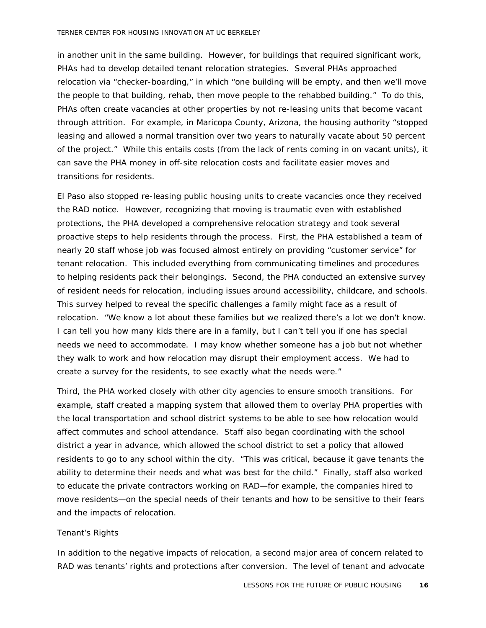#### TERNER CENTER FOR HOUSING INNOVATION AT UC BERKELEY

in another unit in the same building. However, for buildings that required significant work, PHAs had to develop detailed tenant relocation strategies. Several PHAs approached relocation via "checker-boarding," in which "one building will be empty, and then we'll move the people to that building, rehab, then move people to the rehabbed building." To do this, PHAs often create vacancies at other properties by not re-leasing units that become vacant through attrition. For example, in Maricopa County, Arizona, the housing authority "stopped leasing and allowed a normal transition over two years to naturally vacate about 50 percent of the project." While this entails costs (from the lack of rents coming in on vacant units), it can save the PHA money in off-site relocation costs and facilitate easier moves and transitions for residents.

El Paso also stopped re-leasing public housing units to create vacancies once they received the RAD notice. However, recognizing that moving is traumatic even with established protections, the PHA developed a comprehensive relocation strategy and took several proactive steps to help residents through the process. First, the PHA established a team of nearly 20 staff whose job was focused almost entirely on providing "customer service" for tenant relocation. This included everything from communicating timelines and procedures to helping residents pack their belongings. Second, the PHA conducted an extensive survey of resident needs for relocation, including issues around accessibility, childcare, and schools. This survey helped to reveal the specific challenges a family might face as a result of relocation. "We know a lot about these families but we realized there's a lot we don't know. I can tell you how many kids there are in a family, but I can't tell you if one has special needs we need to accommodate. I may know whether someone has a job but not whether they walk to work and how relocation may disrupt their employment access. We had to create a survey for the residents, to see exactly what the needs were."

Third, the PHA worked closely with other city agencies to ensure smooth transitions. For example, staff created a mapping system that allowed them to overlay PHA properties with the local transportation and school district systems to be able to see how relocation would affect commutes and school attendance. Staff also began coordinating with the school district a year in advance, which allowed the school district to set a policy that allowed residents to go to any school within the city. "This was critical, because it gave tenants the ability to determine their needs and what was best for the child." Finally, staff also worked to educate the private contractors working on RAD—for example, the companies hired to move residents—on the special needs of their tenants and how to be sensitive to their fears and the impacts of relocation.

#### *Tenant's Rights*

In addition to the negative impacts of relocation, a second major area of concern related to RAD was tenants' rights and protections after conversion. The level of tenant and advocate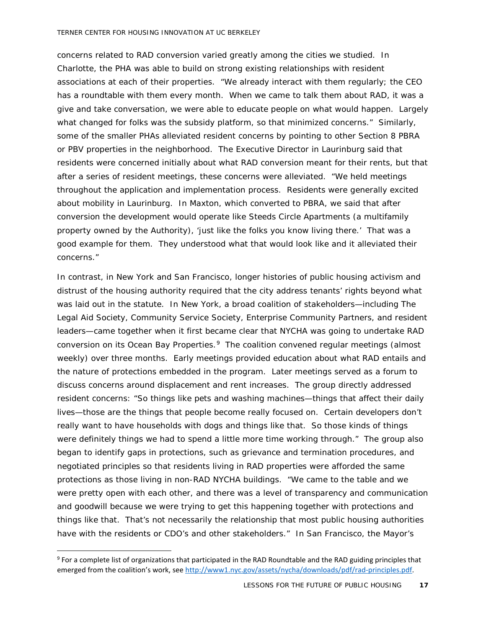concerns related to RAD conversion varied greatly among the cities we studied. In Charlotte, the PHA was able to build on strong existing relationships with resident associations at each of their properties. "We already interact with them regularly; the CEO has a roundtable with them every month. When we came to talk them about RAD, it was a give and take conversation, we were able to educate people on what would happen. Largely what changed for folks was the subsidy platform, so that minimized concerns." Similarly, some of the smaller PHAs alleviated resident concerns by pointing to other Section 8 PBRA or PBV properties in the neighborhood. The Executive Director in Laurinburg said that residents were concerned initially about what RAD conversion meant for their rents, but that after a series of resident meetings, these concerns were alleviated. "We held meetings throughout the application and implementation process. Residents were generally excited about mobility in Laurinburg. In Maxton, which converted to PBRA, we said that after conversion the development would operate like Steeds Circle Apartments (a multifamily property owned by the Authority), 'just like the folks you know living there.' That was a good example for them. They understood what that would look like and it alleviated their concerns."

In contrast, in New York and San Francisco, longer histories of public housing activism and distrust of the housing authority required that the city address tenants' rights beyond what was laid out in the statute. In New York, a broad coalition of stakeholders—including The Legal Aid Society, Community Service Society, Enterprise Community Partners, and resident leaders—came together when it first became clear that NYCHA was going to undertake RAD conversion on its Ocean Bay Properties.<sup>[9](#page-18-0)</sup> The coalition convened regular meetings (almost weekly) over three months. Early meetings provided education about what RAD entails and the nature of protections embedded in the program. Later meetings served as a forum to discuss concerns around displacement and rent increases. The group directly addressed resident concerns: "So things like pets and washing machines—things that affect their daily lives—those are the things that people become really focused on. Certain developers don't really want to have households with dogs and things like that. So those kinds of things were definitely things we had to spend a little more time working through." The group also began to identify gaps in protections, such as grievance and termination procedures, and negotiated principles so that residents living in RAD properties were afforded the same protections as those living in non-RAD NYCHA buildings. "We came to the table and we were pretty open with each other, and there was a level of transparency and communication and goodwill because we were trying to get this happening together with protections and things like that. That's not necessarily the relationship that most public housing authorities have with the residents or CDO's and other stakeholders." In San Francisco, the Mayor's

<span id="page-18-0"></span> <sup>9</sup> For a complete list of organizations that participated in the RAD Roundtable and the RAD guiding principles that emerged from the coalition's work, se[e http://www1.nyc.gov/assets/nycha/downloads/pdf/rad-principles.pdf.](http://www1.nyc.gov/assets/nycha/downloads/pdf/rad-principles.pdf)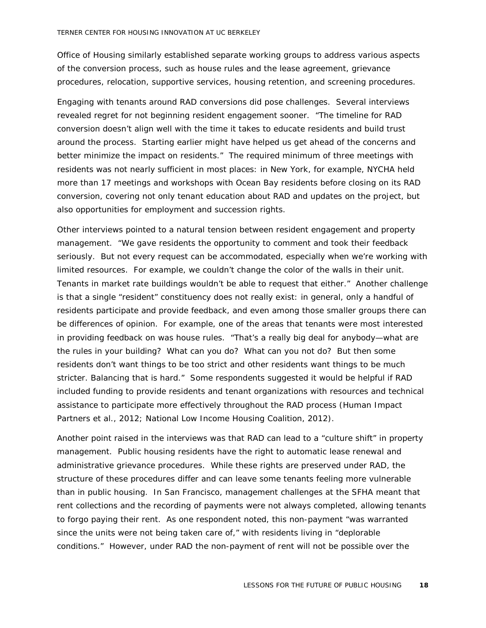Office of Housing similarly established separate working groups to address various aspects of the conversion process, such as house rules and the lease agreement, grievance procedures, relocation, supportive services, housing retention, and screening procedures.

Engaging with tenants around RAD conversions did pose challenges. Several interviews revealed regret for not beginning resident engagement sooner. "The timeline for RAD conversion doesn't align well with the time it takes to educate residents and build trust around the process. Starting earlier might have helped us get ahead of the concerns and better minimize the impact on residents." The required minimum of three meetings with residents was not nearly sufficient in most places: in New York, for example, NYCHA held more than 17 meetings and workshops with Ocean Bay residents before closing on its RAD conversion, covering not only tenant education about RAD and updates on the project, but also opportunities for employment and succession rights.

Other interviews pointed to a natural tension between resident engagement and property management. "We gave residents the opportunity to comment and took their feedback seriously. But not every request can be accommodated, especially when we're working with limited resources. For example, we couldn't change the color of the walls in their unit. Tenants in market rate buildings wouldn't be able to request that either." Another challenge is that a single "resident" constituency does not really exist: in general, only a handful of residents participate and provide feedback, and even among those smaller groups there can be differences of opinion. For example, one of the areas that tenants were most interested in providing feedback on was house rules. "That's a really big deal for anybody—what are the rules in your building? What can you do? What can you not do? But then some residents don't want things to be too strict and other residents want things to be much stricter. Balancing that is hard." Some respondents suggested it would be helpful if RAD included funding to provide residents and tenant organizations with resources and technical assistance to participate more effectively throughout the RAD process (Human Impact Partners et al., 2012; National Low Income Housing Coalition, 2012).

Another point raised in the interviews was that RAD can lead to a "culture shift" in property management. Public housing residents have the right to automatic lease renewal and administrative grievance procedures. While these rights are preserved under RAD, the structure of these procedures differ and can leave some tenants feeling more vulnerable than in public housing. In San Francisco, management challenges at the SFHA meant that rent collections and the recording of payments were not always completed, allowing tenants to forgo paying their rent. As one respondent noted, this non-payment "was warranted since the units were not being taken care of," with residents living in "deplorable conditions." However, under RAD the non-payment of rent will not be possible over the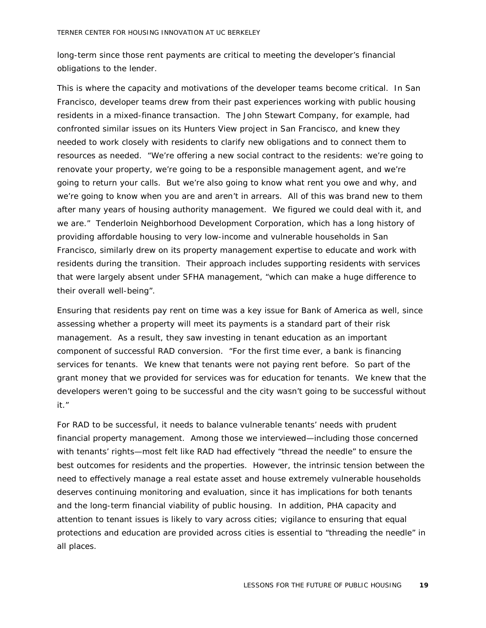long-term since those rent payments are critical to meeting the developer's financial obligations to the lender.

This is where the capacity and motivations of the developer teams become critical. In San Francisco, developer teams drew from their past experiences working with public housing residents in a mixed-finance transaction. The John Stewart Company, for example, had confronted similar issues on its Hunters View project in San Francisco, and knew they needed to work closely with residents to clarify new obligations and to connect them to resources as needed. "We're offering a new social contract to the residents: we're going to renovate your property, we're going to be a responsible management agent, and we're going to return your calls. But we're also going to know what rent you owe and why, and we're going to know when you are and aren't in arrears. All of this was brand new to them after many years of housing authority management. We figured we could deal with it, and we are." Tenderloin Neighborhood Development Corporation, which has a long history of providing affordable housing to very low-income and vulnerable households in San Francisco, similarly drew on its property management expertise to educate and work with residents during the transition. Their approach includes supporting residents with services that were largely absent under SFHA management, "which can make a huge difference to their overall well-being".

Ensuring that residents pay rent on time was a key issue for Bank of America as well, since assessing whether a property will meet its payments is a standard part of their risk management. As a result, they saw investing in tenant education as an important component of successful RAD conversion. "For the first time ever, a bank is financing services for tenants. We knew that tenants were not paying rent before. So part of the grant money that we provided for services was for education for tenants. We knew that the developers weren't going to be successful and the city wasn't going to be successful without it."

For RAD to be successful, it needs to balance vulnerable tenants' needs with prudent financial property management. Among those we interviewed—including those concerned with tenants' rights—most felt like RAD had effectively "thread the needle" to ensure the best outcomes for residents and the properties. However, the intrinsic tension between the need to effectively manage a real estate asset and house extremely vulnerable households deserves continuing monitoring and evaluation, since it has implications for both tenants and the long-term financial viability of public housing. In addition, PHA capacity and attention to tenant issues is likely to vary across cities; vigilance to ensuring that equal protections and education are provided across cities is essential to "threading the needle" in all places.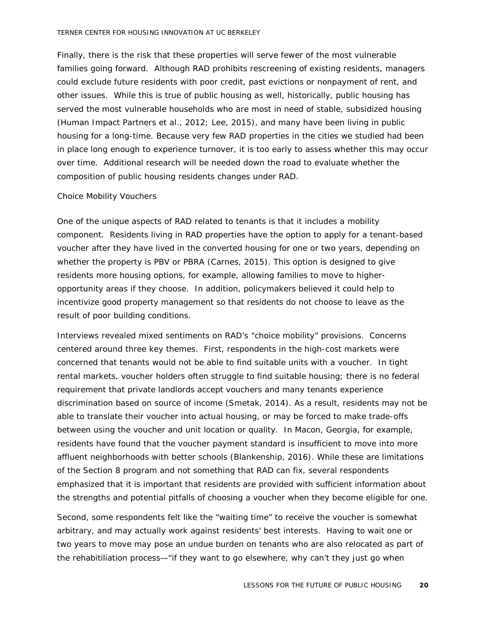Finally, there is the risk that these properties will serve fewer of the most vulnerable families going forward. Although RAD prohibits rescreening of existing residents, managers could exclude future residents with poor credit, past evictions or nonpayment of rent, and other issues. While this is true of public housing as well, historically, public housing has served the most vulnerable households who are most in need of stable, subsidized housing (Human Impact Partners et al., 2012; Lee, 2015), and many have been living in public housing for a long-time. Because very few RAD properties in the cities we studied had been in place long enough to experience turnover, it is too early to assess whether this may occur over time. Additional research will be needed down the road to evaluate whether the composition of public housing residents changes under RAD.

#### *Choice Mobility Vouchers*

One of the unique aspects of RAD related to tenants is that it includes a mobility component. Residents living in RAD properties have the option to apply for a tenant-based voucher after they have lived in the converted housing for one or two years, depending on whether the property is PBV or PBRA (Carnes, 2015). This option is designed to give residents more housing options, for example, allowing families to move to higheropportunity areas if they choose. In addition, policymakers believed it could help to incentivize good property management so that residents do not choose to leave as the result of poor building conditions.

Interviews revealed mixed sentiments on RAD's "choice mobility" provisions. Concerns centered around three key themes. First, respondents in the high-cost markets were concerned that tenants would not be able to find suitable units with a voucher. In tight rental markets, voucher holders often struggle to find suitable housing; there is no federal requirement that private landlords accept vouchers and many tenants experience discrimination based on source of income (Smetak, 2014). As a result, residents may not be able to translate their voucher into actual housing, or may be forced to make trade-offs between using the voucher and unit location or quality. In Macon, Georgia, for example, residents have found that the voucher payment standard is insufficient to move into more affluent neighborhoods with better schools (Blankenship, 2016). While these are limitations of the Section 8 program and not something that RAD can fix, several respondents emphasized that it is important that residents are provided with sufficient information about the strengths and potential pitfalls of choosing a voucher when they become eligible for one.

Second, some respondents felt like the "waiting time" to receive the voucher is somewhat arbitrary, and may actually work against residents' best interests. Having to wait one or two years to move may pose an undue burden on tenants who are also relocated as part of the rehabitiliation process—"if they want to go elsewhere, why can't they just go when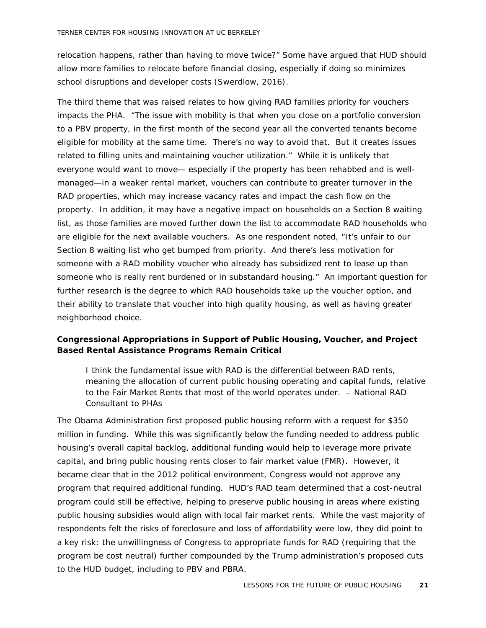relocation happens, rather than having to move twice?" Some have argued that HUD should allow more families to relocate before financial closing, especially if doing so minimizes school disruptions and developer costs (Swerdlow, 2016).

The third theme that was raised relates to how giving RAD families priority for vouchers impacts the PHA. "The issue with mobility is that when you close on a portfolio conversion to a PBV property, in the first month of the second year all the converted tenants become eligible for mobility at the same time. There's no way to avoid that. But it creates issues related to filling units and maintaining voucher utilization." While it is unlikely that everyone would want to move— especially if the property has been rehabbed and is wellmanaged—in a weaker rental market, vouchers can contribute to greater turnover in the RAD properties, which may increase vacancy rates and impact the cash flow on the property. In addition, it may have a negative impact on households on a Section 8 waiting list, as those families are moved further down the list to accommodate RAD households who are eligible for the next available vouchers. As one respondent noted, "It's unfair to our Section 8 waiting list who get bumped from priority. And there's less motivation for someone with a RAD mobility voucher who already has subsidized rent to lease up than someone who is really rent burdened or in substandard housing." An important question for further research is the degree to which RAD households take up the voucher option, and their ability to translate that voucher into high quality housing, as well as having greater neighborhood choice.

#### <span id="page-22-0"></span>**Congressional Appropriations in Support of Public Housing, Voucher, and Project Based Rental Assistance Programs Remain Critical**

*I think the fundamental issue with RAD is the differential between RAD rents, meaning the allocation of current public housing operating and capital funds, relative to the Fair Market Rents that most of the world operates under. – National RAD Consultant to PHAs*

The Obama Administration first proposed public housing reform with a request for \$350 million in funding. While this was significantly below the funding needed to address public housing's overall capital backlog, additional funding *would* help to leverage more private capital, and bring public housing rents closer to fair market value (FMR). However, it became clear that in the 2012 political environment, Congress would not approve any program that required additional funding. HUD's RAD team determined that a cost-neutral program could still be effective, helping to preserve public housing in areas where existing public housing subsidies would align with local fair market rents. While the vast majority of respondents felt the risks of foreclosure and loss of affordability were low, they did point to a key risk: the unwillingness of Congress to appropriate funds for RAD (requiring that the program be cost neutral) further compounded by the Trump administration's proposed cuts to the HUD budget, including to PBV and PBRA.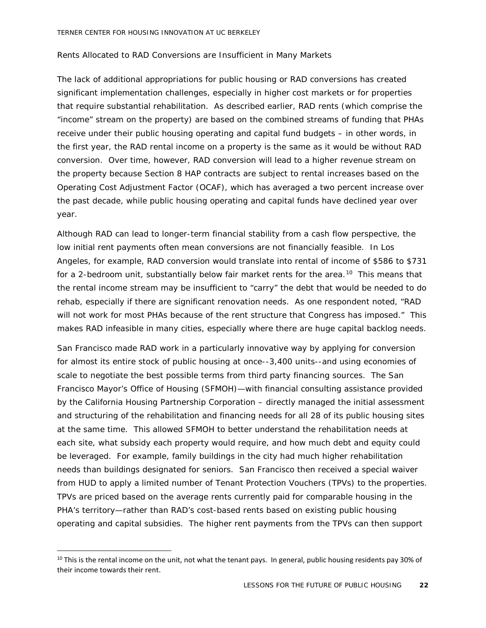#### *Rents Allocated to RAD Conversions are Insufficient in Many Markets*

The lack of additional appropriations for public housing or RAD conversions has created significant implementation challenges, especially in higher cost markets or for properties that require substantial rehabilitation. As described earlier, RAD rents (which comprise the "income" stream on the property) are based on the combined streams of funding that PHAs receive under their public housing operating and capital fund budgets – in other words, in the first year, the RAD rental income on a property is the same as it would be without RAD conversion. Over time, however, RAD conversion will lead to a higher revenue stream on the property because Section 8 HAP contracts are subject to rental increases based on the Operating Cost Adjustment Factor (OCAF), which has averaged a two percent increase over the past decade, while public housing operating and capital funds have declined year over year.

Although RAD can lead to longer-term financial stability from a cash flow perspective, the low initial rent payments often mean conversions are not financially feasible. In Los Angeles, for example, RAD conversion would translate into rental of income of \$586 to \$731 for a 2-bedroom unit, substantially below fair market rents for the area.<sup>[10](#page-23-0)</sup> This means that the rental income stream may be insufficient to "carry" the debt that would be needed to do rehab, especially if there are significant renovation needs. As one respondent noted, "RAD will not work for most PHAs because of the rent structure that Congress has imposed." This makes RAD infeasible in many cities, especially where there are huge capital backlog needs.

San Francisco made RAD work in a particularly innovative way by applying for conversion for almost its entire stock of public housing at once--3,400 units--and using economies of scale to negotiate the best possible terms from third party financing sources. The San Francisco Mayor's Office of Housing (SFMOH)—with financial consulting assistance provided by the California Housing Partnership Corporation – directly managed the initial assessment and structuring of the rehabilitation and financing needs for all 28 of its public housing sites at the same time. This allowed SFMOH to better understand the rehabilitation needs at each site, what subsidy each property would require, and how much debt and equity could be leveraged. For example, family buildings in the city had much higher rehabilitation needs than buildings designated for seniors. San Francisco then received a special waiver from HUD to apply a limited number of Tenant Protection Vouchers (TPVs) to the properties. TPVs are priced based on the average rents currently paid for comparable housing in the PHA's territory—rather than RAD's cost-based rents based on existing public housing operating and capital subsidies. The higher rent payments from the TPVs can then support

<span id="page-23-0"></span><sup>&</sup>lt;sup>10</sup> This is the rental income on the unit, not what the tenant pays. In general, public housing residents pay 30% of their income towards their rent.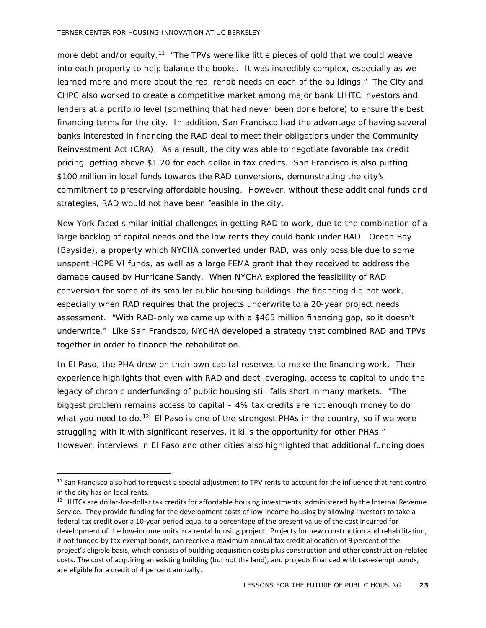more debt and/or equity.<sup>[11](#page-24-0)</sup> "The TPVs were like little pieces of gold that we could weave into each property to help balance the books. It was incredibly complex, especially as we learned more and more about the real rehab needs on each of the buildings." The City and CHPC also worked to create a competitive market among major bank LIHTC investors and lenders at a portfolio level (something that had never been done before) to ensure the best financing terms for the city. In addition, San Francisco had the advantage of having several banks interested in financing the RAD deal to meet their obligations under the Community Reinvestment Act (CRA). As a result, the city was able to negotiate favorable tax credit pricing, getting above \$1.20 for each dollar in tax credits. San Francisco is also putting \$100 million in local funds towards the RAD conversions, demonstrating the city's commitment to preserving affordable housing. However, without these additional funds and strategies, RAD would not have been feasible in the city.

New York faced similar initial challenges in getting RAD to work, due to the combination of a large backlog of capital needs and the low rents they could bank under RAD. Ocean Bay (Bayside), a property which NYCHA converted under RAD, was only possible due to some unspent HOPE VI funds, as well as a large FEMA grant that they received to address the damage caused by Hurricane Sandy. When NYCHA explored the feasibility of RAD conversion for some of its smaller public housing buildings, the financing did not work, especially when RAD requires that the projects underwrite to a 20-year project needs assessment. "With RAD-only we came up with a \$465 million financing gap, so it doesn't underwrite." Like San Francisco, NYCHA developed a strategy that combined RAD and TPVs together in order to finance the rehabilitation.

In El Paso, the PHA drew on their own capital reserves to make the financing work. Their experience highlights that even with RAD and debt leveraging, access to capital to undo the legacy of chronic underfunding of public housing still falls short in many markets. "The biggest problem remains access to capital – 4% tax credits are not enough money to do what you need to do.<sup>[12](#page-24-1)</sup> El Paso is one of the strongest PHAs in the country, so if we were struggling with it with significant reserves, it kills the opportunity for other PHAs." However, interviews in El Paso and other cities also highlighted that additional funding does

<span id="page-24-0"></span> $11$  San Francisco also had to request a special adjustment to TPV rents to account for the influence that rent control in the city has on local rents.

<span id="page-24-1"></span><sup>&</sup>lt;sup>12</sup> LIHTCs are dollar-for-dollar tax credits for affordable housing investments, administered by the Internal Revenue Service. They provide funding for the development costs of low-income housing by allowing investors to take a federal tax credit over a 10-year period equal to a percentage of the present value of the cost incurred for development of the low-income units in a rental housing project. Projects for new construction and rehabilitation, if not funded by tax-exempt bonds, can receive a maximum annual tax credit allocation of 9 percent of the project's eligible basis, which consists of building acquisition costs plus construction and other construction-related costs. The cost of acquiring an existing building (but not the land), and projects financed with tax-exempt bonds, are eligible for a credit of 4 percent annually.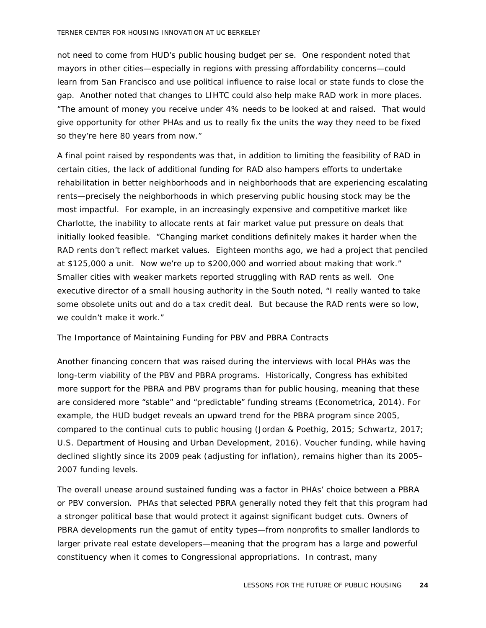not need to come from HUD's public housing budget per se. One respondent noted that mayors in other cities—especially in regions with pressing affordability concerns—could learn from San Francisco and use political influence to raise local or state funds to close the gap. Another noted that changes to LIHTC could also help make RAD work in more places. "The amount of money you receive under 4% needs to be looked at and raised. That would give opportunity for other PHAs and us to really fix the units the way they need to be fixed so they're here 80 years from now."

A final point raised by respondents was that, in addition to limiting the feasibility of RAD in certain cities, the lack of additional funding for RAD also hampers efforts to undertake rehabilitation in better neighborhoods and in neighborhoods that are experiencing escalating rents—precisely the neighborhoods in which preserving public housing stock may be the most impactful. For example, in an increasingly expensive and competitive market like Charlotte, the inability to allocate rents at fair market value put pressure on deals that initially looked feasible. "Changing market conditions definitely makes it harder when the RAD rents don't reflect market values. Eighteen months ago, we had a project that penciled at \$125,000 a unit. Now we're up to \$200,000 and worried about making that work." Smaller cities with weaker markets reported struggling with RAD rents as well. One executive director of a small housing authority in the South noted, "I really wanted to take some obsolete units out and do a tax credit deal. But because the RAD rents were so low, we couldn't make it work."

#### *The Importance of Maintaining Funding for PBV and PBRA Contracts*

Another financing concern that was raised during the interviews with local PHAs was the long-term viability of the PBV and PBRA programs. Historically, Congress has exhibited more support for the PBRA and PBV programs than for public housing, meaning that these are considered more "stable" and "predictable" funding streams (Econometrica, 2014). For example, the HUD budget reveals an upward trend for the PBRA program since 2005, compared to the continual cuts to public housing (Jordan & Poethig, 2015; Schwartz, 2017; U.S. Department of Housing and Urban Development, 2016). Voucher funding, while having declined slightly since its 2009 peak (adjusting for inflation), remains higher than its 2005– 2007 funding levels.

The overall unease around sustained funding was a factor in PHAs' choice between a PBRA or PBV conversion. PHAs that selected PBRA generally noted they felt that this program had a stronger political base that would protect it against significant budget cuts. Owners of PBRA developments run the gamut of entity types—from nonprofits to smaller landlords to larger private real estate developers—meaning that the program has a large and powerful constituency when it comes to Congressional appropriations. In contrast, many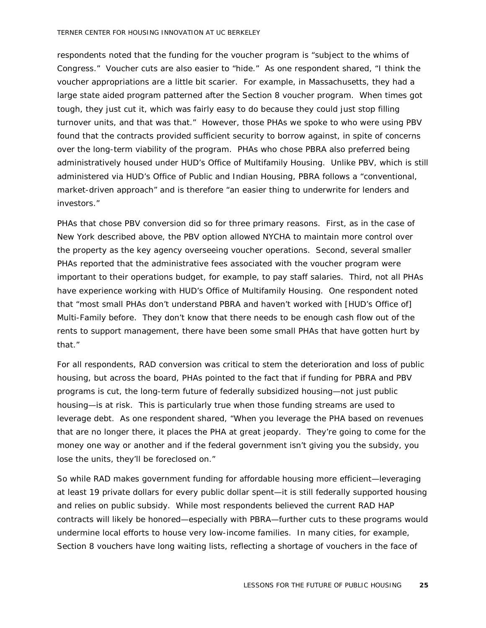respondents noted that the funding for the voucher program is "subject to the whims of Congress." Voucher cuts are also easier to "hide." As one respondent shared, "I think the voucher appropriations are a little bit scarier. For example, in Massachusetts, they had a large state aided program patterned after the Section 8 voucher program. When times got tough, they just cut it, which was fairly easy to do because they could just stop filling turnover units, and that was that." However, those PHAs we spoke to who were using PBV found that the contracts provided sufficient security to borrow against, in spite of concerns over the long-term viability of the program. PHAs who chose PBRA also preferred being administratively housed under HUD's Office of Multifamily Housing. Unlike PBV, which is still administered via HUD's Office of Public and Indian Housing, PBRA follows a "conventional, market-driven approach" and is therefore "an easier thing to underwrite for lenders and investors."

PHAs that chose PBV conversion did so for three primary reasons. First, as in the case of New York described above, the PBV option allowed NYCHA to maintain more control over the property as the key agency overseeing voucher operations. Second, several smaller PHAs reported that the administrative fees associated with the voucher program were important to their operations budget, for example, to pay staff salaries. Third, not all PHAs have experience working with HUD's Office of Multifamily Housing. One respondent noted that "most small PHAs don't understand PBRA and haven't worked with [HUD's Office of] Multi-Family before. They don't know that there needs to be enough cash flow out of the rents to support management, there have been some small PHAs that have gotten hurt by that."

For all respondents, RAD conversion was critical to stem the deterioration and loss of public housing, but across the board, PHAs pointed to the fact that if funding for PBRA and PBV programs is cut, the long-term future of federally subsidized housing—not just public housing—is at risk. This is particularly true when those funding streams are used to leverage debt. As one respondent shared, "When you leverage the PHA based on revenues that are no longer there, it places the PHA at great jeopardy. They're going to come for the money one way or another and if the federal government isn't giving you the subsidy, you lose the units, they'll be foreclosed on."

So while RAD makes government funding for affordable housing more efficient—leveraging at least 19 private dollars for every public dollar spent—it is still federally supported housing and relies on public subsidy. While most respondents believed the current RAD HAP contracts will likely be honored—especially with PBRA—further cuts to these programs would undermine local efforts to house very low-income families. In many cities, for example, Section 8 vouchers have long waiting lists, reflecting a shortage of vouchers in the face of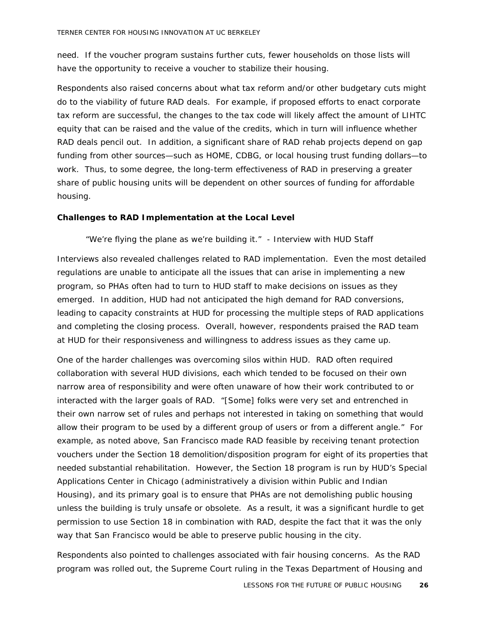need. If the voucher program sustains further cuts, fewer households on those lists will have the opportunity to receive a voucher to stabilize their housing.

Respondents also raised concerns about what tax reform and/or other budgetary cuts might do to the viability of future RAD deals. For example, if proposed efforts to enact corporate tax reform are successful, the changes to the tax code will likely affect the amount of LIHTC equity that can be raised and the value of the credits, which in turn will influence whether RAD deals pencil out. In addition, a significant share of RAD rehab projects depend on gap funding from other sources—such as HOME, CDBG, or local housing trust funding dollars—to work. Thus, to some degree, the long-term effectiveness of RAD in preserving a greater share of public housing units will be dependent on other sources of funding for affordable housing.

#### <span id="page-27-0"></span>**Challenges to RAD Implementation at the Local Level**

#### *"We're flying the plane as we're building it."* - Interview with HUD Staff

Interviews also revealed challenges related to RAD implementation. Even the most detailed regulations are unable to anticipate all the issues that can arise in implementing a new program, so PHAs often had to turn to HUD staff to make decisions on issues as they emerged. In addition, HUD had not anticipated the high demand for RAD conversions, leading to capacity constraints at HUD for processing the multiple steps of RAD applications and completing the closing process. Overall, however, respondents praised the RAD team at HUD for their responsiveness and willingness to address issues as they came up.

One of the harder challenges was overcoming silos within HUD. RAD often required collaboration with several HUD divisions, each which tended to be focused on their own narrow area of responsibility and were often unaware of how their work contributed to or interacted with the larger goals of RAD. "[Some] folks were very set and entrenched in their own narrow set of rules and perhaps not interested in taking on something that would allow their program to be used by a different group of users or from a different angle." For example, as noted above, San Francisco made RAD feasible by receiving tenant protection vouchers under the Section 18 demolition/disposition program for eight of its properties that needed substantial rehabilitation. However, the Section 18 program is run by HUD's Special Applications Center in Chicago (administratively a division within Public and Indian Housing), and its primary goal is to ensure that PHAs are not demolishing public housing unless the building is truly unsafe or obsolete. As a result, it was a significant hurdle to get permission to use Section 18 in combination with RAD, despite the fact that it was the only way that San Francisco would be able to preserve public housing in the city.

Respondents also pointed to challenges associated with fair housing concerns. As the RAD program was rolled out, the Supreme Court ruling in the Texas Department of Housing and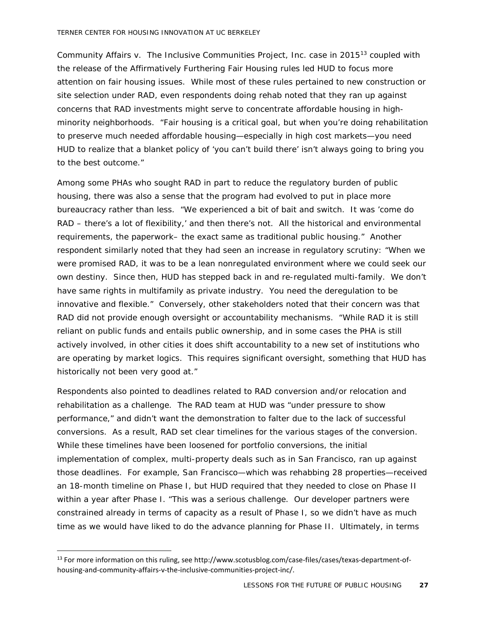Community Affairs v. The Inclusive Communities Project, Inc. case in 2015[13](#page-28-0) coupled with the release of the Affirmatively Furthering Fair Housing rules led HUD to focus more attention on fair housing issues. While most of these rules pertained to new construction or site selection under RAD, even respondents doing rehab noted that they ran up against concerns that RAD investments might serve to concentrate affordable housing in highminority neighborhoods. "Fair housing is a critical goal, but when you're doing rehabilitation to preserve much needed affordable housing—especially in high cost markets—you need HUD to realize that a blanket policy of 'you can't build there' isn't always going to bring you to the best outcome."

Among some PHAs who sought RAD in part to reduce the regulatory burden of public housing, there was also a sense that the program had evolved to put in place more bureaucracy rather than less. "We experienced a bit of bait and switch. It was 'come do RAD – there's a lot of flexibility,' and then there's not. All the historical and environmental requirements, the paperwork– the exact same as traditional public housing." Another respondent similarly noted that they had seen an increase in regulatory scrutiny: "When we were promised RAD, it was to be a lean nonregulated environment where we could seek our own destiny. Since then, HUD has stepped back in and re-regulated multi-family. We don't have same rights in multifamily as private industry. You need the deregulation to be innovative and flexible." Conversely, other stakeholders noted that their concern was that RAD did not provide enough oversight or accountability mechanisms. "While RAD it is still reliant on public funds and entails public ownership, and in some cases the PHA is still actively involved, in other cities it does shift accountability to a new set of institutions who are operating by market logics. This requires significant oversight, something that HUD has historically not been very good at."

Respondents also pointed to deadlines related to RAD conversion and/or relocation and rehabilitation as a challenge. The RAD team at HUD was "under pressure to show performance," and didn't want the demonstration to falter due to the lack of successful conversions. As a result, RAD set clear timelines for the various stages of the conversion. While these timelines have been loosened for portfolio conversions, the initial implementation of complex, multi-property deals such as in San Francisco, ran up against those deadlines. For example, San Francisco—which was rehabbing 28 properties—received an 18-month timeline on Phase I, but HUD required that they needed to close on Phase II within a year after Phase I. "This was a serious challenge. Our developer partners were constrained already in terms of capacity as a result of Phase I, so we didn't have as much time as we would have liked to do the advance planning for Phase II. Ultimately, in terms

<span id="page-28-0"></span> <sup>13</sup> For more information on this ruling, see http://www.scotusblog.com/case-files/cases/texas-department-ofhousing-and-community-affairs-v-the-inclusive-communities-project-inc/.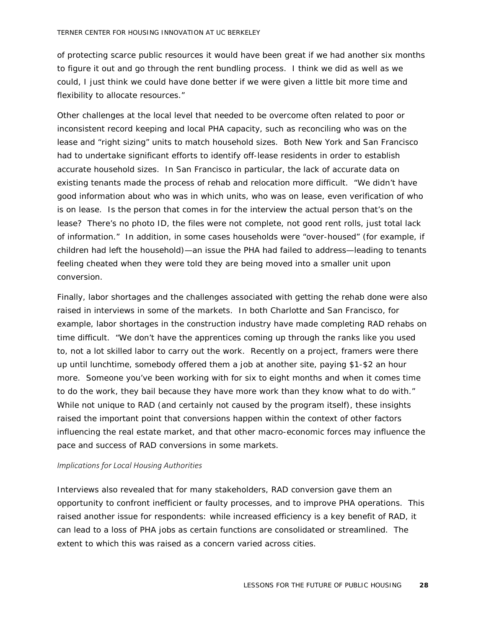of protecting scarce public resources it would have been great if we had another six months to figure it out and go through the rent bundling process. I think we did as well as we could, I just think we could have done better if we were given a little bit more time and flexibility to allocate resources."

Other challenges at the local level that needed to be overcome often related to poor or inconsistent record keeping and local PHA capacity, such as reconciling who was on the lease and "right sizing" units to match household sizes. Both New York and San Francisco had to undertake significant efforts to identify off-lease residents in order to establish accurate household sizes. In San Francisco in particular, the lack of accurate data on existing tenants made the process of rehab and relocation more difficult. "We didn't have good information about who was in which units, who was on lease, even verification of who is on lease. Is the person that comes in for the interview the actual person that's on the lease? There's no photo ID, the files were not complete, not good rent rolls, just total lack of information." In addition, in some cases households were "over-housed" (for example, if children had left the household)—an issue the PHA had failed to address—leading to tenants feeling cheated when they were told they are being moved into a smaller unit upon conversion.

Finally, labor shortages and the challenges associated with getting the rehab done were also raised in interviews in some of the markets. In both Charlotte and San Francisco, for example, labor shortages in the construction industry have made completing RAD rehabs on time difficult. "We don't have the apprentices coming up through the ranks like you used to, not a lot skilled labor to carry out the work. Recently on a project, framers were there up until lunchtime, somebody offered them a job at another site, paying \$1-\$2 an hour more. Someone you've been working with for six to eight months and when it comes time to do the work, they bail because they have more work than they know what to do with." While not unique to RAD (and certainly not caused by the program itself), these insights raised the important point that conversions happen within the context of other factors influencing the real estate market, and that other macro-economic forces may influence the pace and success of RAD conversions in some markets.

#### *Implications for Local Housing Authorities*

Interviews also revealed that for many stakeholders, RAD conversion gave them an opportunity to confront inefficient or faulty processes, and to improve PHA operations. This raised another issue for respondents: while increased efficiency is a key benefit of RAD, it can lead to a loss of PHA jobs as certain functions are consolidated or streamlined. The extent to which this was raised as a concern varied across cities.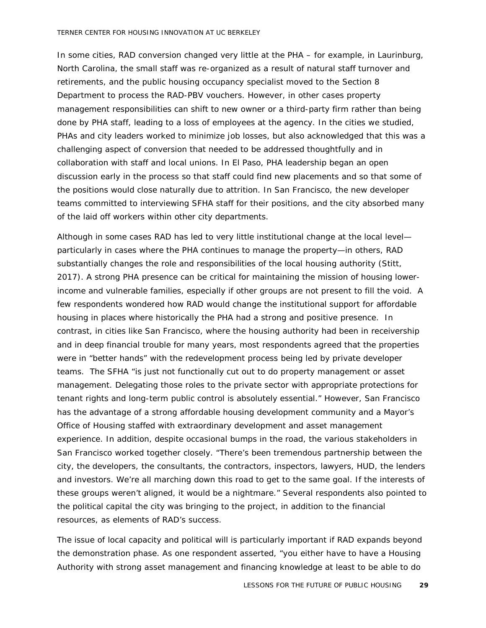In some cities, RAD conversion changed very little at the PHA – for example, in Laurinburg, North Carolina, the small staff was re-organized as a result of natural staff turnover and retirements, and the public housing occupancy specialist moved to the Section 8 Department to process the RAD-PBV vouchers. However, in other cases property management responsibilities can shift to new owner or a third-party firm rather than being done by PHA staff, leading to a loss of employees at the agency. In the cities we studied, PHAs and city leaders worked to minimize job losses, but also acknowledged that this was a challenging aspect of conversion that needed to be addressed thoughtfully and in collaboration with staff and local unions. In El Paso, PHA leadership began an open discussion early in the process so that staff could find new placements and so that some of the positions would close naturally due to attrition. In San Francisco, the new developer teams committed to interviewing SFHA staff for their positions, and the city absorbed many of the laid off workers within other city departments.

Although in some cases RAD has led to very little institutional change at the local level particularly in cases where the PHA continues to manage the property—in others, RAD substantially changes the role and responsibilities of the local housing authority (Stitt, 2017). A strong PHA presence can be critical for maintaining the mission of housing lowerincome and vulnerable families, especially if other groups are not present to fill the void. A few respondents wondered how RAD would change the institutional support for affordable housing in places where historically the PHA had a strong and positive presence. In contrast, in cities like San Francisco, where the housing authority had been in receivership and in deep financial trouble for many years, most respondents agreed that the properties were in "better hands" with the redevelopment process being led by private developer teams. The SFHA "is just not functionally cut out to do property management or asset management. Delegating those roles to the private sector with appropriate protections for tenant rights and long-term public control is absolutely essential." However, San Francisco has the advantage of a strong affordable housing development community and a Mayor's Office of Housing staffed with extraordinary development and asset management experience. In addition, despite occasional bumps in the road, the various stakeholders in San Francisco worked together closely. "There's been tremendous partnership between the city, the developers, the consultants, the contractors, inspectors, lawyers, HUD, the lenders and investors. We're all marching down this road to get to the same goal. If the interests of these groups weren't aligned, it would be a nightmare." Several respondents also pointed to the political capital the city was bringing to the project, in addition to the financial resources, as elements of RAD's success.

The issue of local capacity and political will is particularly important if RAD expands beyond the demonstration phase. As one respondent asserted, "you either have to have a Housing Authority with strong asset management and financing knowledge at least to be able to do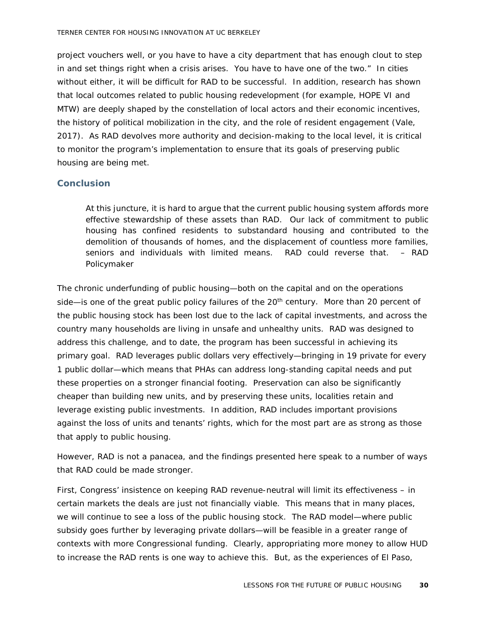project vouchers well, or you have to have a city department that has enough clout to step in and set things right when a crisis arises. You have to have one of the two." In cities without either, it will be difficult for RAD to be successful. In addition, research has shown that local outcomes related to public housing redevelopment (for example, HOPE VI and MTW) are deeply shaped by the constellation of local actors and their economic incentives, the history of political mobilization in the city, and the role of resident engagement (Vale, 2017). As RAD devolves more authority and decision-making to the local level, it is critical to monitor the program's implementation to ensure that its goals of preserving public housing are being met.

#### <span id="page-31-0"></span>**Conclusion**

*At this juncture, it is hard to argue that the current public housing system affords more effective stewardship of these assets than RAD. Our lack of commitment to public housing has confined residents to substandard housing and contributed to the demolition of thousands of homes, and the displacement of countless more families, seniors and individuals with limited means. RAD could reverse that. – RAD Policymaker* 

The chronic underfunding of public housing—both on the capital and on the operations side—is one of the great public policy failures of the  $20<sup>th</sup>$  century. More than 20 percent of the public housing stock has been lost due to the lack of capital investments, and across the country many households are living in unsafe and unhealthy units. RAD was designed to address this challenge, and to date, the program has been successful in achieving its primary goal. RAD leverages public dollars very effectively—bringing in 19 private for every 1 public dollar—which means that PHAs can address long-standing capital needs and put these properties on a stronger financial footing. Preservation can also be significantly cheaper than building new units, and by preserving these units, localities retain and leverage existing public investments. In addition, RAD includes important provisions against the loss of units and tenants' rights, which for the most part are as strong as those that apply to public housing.

However, RAD is not a panacea, and the findings presented here speak to a number of ways that RAD could be made stronger.

First, Congress' insistence on keeping RAD revenue-neutral will limit its effectiveness – in certain markets the deals are just not financially viable. This means that in many places, we will continue to see a loss of the public housing stock. The RAD model—where public subsidy goes further by leveraging private dollars—will be feasible in a greater range of contexts with more Congressional funding. Clearly, appropriating more money to allow HUD to increase the RAD rents is one way to achieve this. But, as the experiences of El Paso,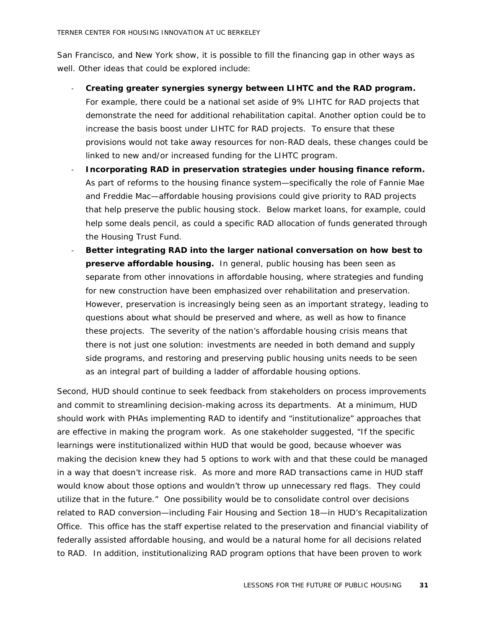San Francisco, and New York show, it is possible to fill the financing gap in other ways as well. Other ideas that could be explored include:

- **Creating greater synergies synergy between LIHTC and the RAD program.** For example, there could be a national set aside of 9% LIHTC for RAD projects that demonstrate the need for additional rehabilitation capital. Another option could be to increase the basis boost under LIHTC for RAD projects. To ensure that these provisions would not take away resources for non-RAD deals, these changes could be linked to new and/or increased funding for the LIHTC program.
- **Incorporating RAD in preservation strategies under housing finance reform.** As part of reforms to the housing finance system—specifically the role of Fannie Mae and Freddie Mac—affordable housing provisions could give priority to RAD projects that help preserve the public housing stock. Below market loans, for example, could help some deals pencil, as could a specific RAD allocation of funds generated through the Housing Trust Fund.
- **Better integrating RAD into the larger national conversation on how best to preserve affordable housing.** In general, public housing has been seen as separate from other innovations in affordable housing, where strategies and funding for new construction have been emphasized over rehabilitation and preservation. However, preservation is increasingly being seen as an important strategy, leading to questions about what should be preserved and where, as well as how to finance these projects. The severity of the nation's affordable housing crisis means that there is not just one solution: investments are needed in both demand and supply side programs, and restoring and preserving public housing units needs to be seen as an integral part of building a ladder of affordable housing options.

Second, HUD should continue to seek feedback from stakeholders on process improvements and commit to streamlining decision-making across its departments. At a minimum, HUD should work with PHAs implementing RAD to identify and "institutionalize" approaches that are effective in making the program work. As one stakeholder suggested, "If the specific learnings were institutionalized within HUD that would be good, because whoever was making the decision knew they had 5 options to work with and that these could be managed in a way that doesn't increase risk. As more and more RAD transactions came in HUD staff would know about those options and wouldn't throw up unnecessary red flags. They could utilize that in the future." One possibility would be to consolidate control over decisions related to RAD conversion—including Fair Housing and Section 18—in HUD's Recapitalization Office. This office has the staff expertise related to the preservation and financial viability of federally assisted affordable housing, and would be a natural home for all decisions related to RAD. In addition, institutionalizing RAD program options that have been proven to work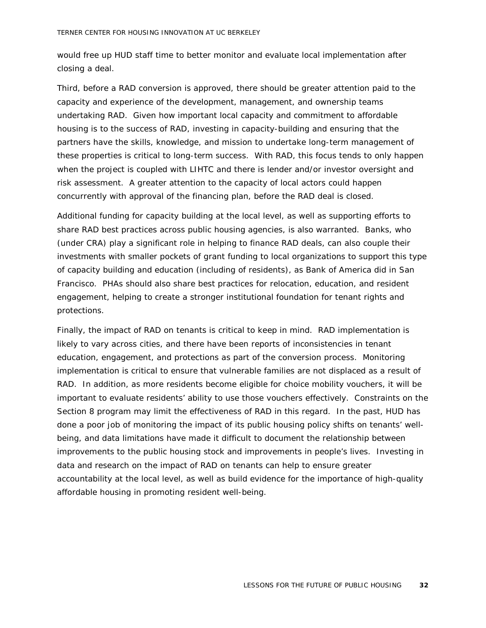would free up HUD staff time to better monitor and evaluate local implementation after closing a deal.

Third, before a RAD conversion is approved, there should be greater attention paid to the capacity and experience of the development, management, and ownership teams undertaking RAD. Given how important local capacity and commitment to affordable housing is to the success of RAD, investing in capacity-building and ensuring that the partners have the skills, knowledge, and mission to undertake long-term management of these properties is critical to long-term success. With RAD, this focus tends to only happen when the project is coupled with LIHTC and there is lender and/or investor oversight and risk assessment. A greater attention to the capacity of local actors could happen concurrently with approval of the financing plan, before the RAD deal is closed.

Additional funding for capacity building at the local level, as well as supporting efforts to share RAD best practices across public housing agencies, is also warranted. Banks, who (under CRA) play a significant role in helping to finance RAD deals, can also couple their investments with smaller pockets of grant funding to local organizations to support this type of capacity building and education (including of residents), as Bank of America did in San Francisco. PHAs should also share best practices for relocation, education, and resident engagement, helping to create a stronger institutional foundation for tenant rights and protections.

Finally, the impact of RAD on tenants is critical to keep in mind. RAD implementation is likely to vary across cities, and there have been reports of inconsistencies in tenant education, engagement, and protections as part of the conversion process. Monitoring implementation is critical to ensure that vulnerable families are not displaced as a result of RAD. In addition, as more residents become eligible for choice mobility vouchers, it will be important to evaluate residents' ability to use those vouchers effectively. Constraints on the Section 8 program may limit the effectiveness of RAD in this regard. In the past, HUD has done a poor job of monitoring the impact of its public housing policy shifts on tenants' wellbeing, and data limitations have made it difficult to document the relationship between improvements to the public housing stock and improvements in people's lives. Investing in data and research on the impact of RAD on tenants can help to ensure greater accountability at the local level, as well as build evidence for the importance of high-quality affordable housing in promoting resident well-being.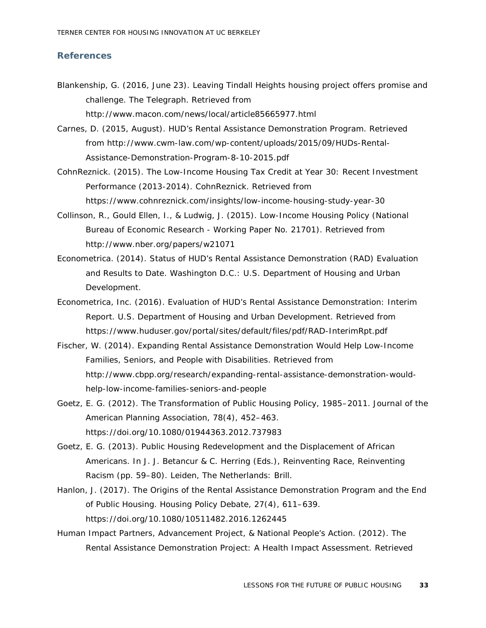#### <span id="page-34-0"></span>**References**

- Blankenship, G. (2016, June 23). Leaving Tindall Heights housing project offers promise and challenge. *The Telegraph*. Retrieved from http://www.macon.com/news/local/article85665977.html
- Carnes, D. (2015, August). *HUD's Rental Assistance Demonstration Program*. Retrieved from http://www.cwm-law.com/wp-content/uploads/2015/09/HUDs-Rental-Assistance-Demonstration-Program-8-10-2015.pdf
- CohnReznick. (2015). *The Low-Income Housing Tax Credit at Year 30: Recent Investment Performance (2013-2014)*. CohnReznick. Retrieved from https://www.cohnreznick.com/insights/low-income-housing-study-year-30
- Collinson, R., Gould Ellen, I., & Ludwig, J. (2015). *Low-Income Housing Policy* (National Bureau of Economic Research - Working Paper No. 21701). Retrieved from http://www.nber.org/papers/w21071
- Econometrica. (2014). *Status of HUD's Rental Assistance Demonstration (RAD) Evaluation and Results to Date*. Washington D.C.: U.S. Department of Housing and Urban Development.
- Econometrica, Inc. (2016). *Evaluation of HUD's Rental Assistance Demonstration: Interim Report*. U.S. Department of Housing and Urban Development. Retrieved from https://www.huduser.gov/portal/sites/default/files/pdf/RAD-InterimRpt.pdf
- Fischer, W. (2014). *Expanding Rental Assistance Demonstration Would Help Low-Income Families, Seniors, and People with Disabilities*. Retrieved from http://www.cbpp.org/research/expanding-rental-assistance-demonstration-wouldhelp-low-income-families-seniors-and-people
- Goetz, E. G. (2012). The Transformation of Public Housing Policy, 1985–2011. *Journal of the American Planning Association*, *78*(4), 452–463. https://doi.org/10.1080/01944363.2012.737983
- Goetz, E. G. (2013). Public Housing Redevelopment and the Displacement of African Americans. In J. J. Betancur & C. Herring (Eds.), *Reinventing Race, Reinventing Racism* (pp. 59–80). Leiden, The Netherlands: Brill.
- Hanlon, J. (2017). The Origins of the Rental Assistance Demonstration Program and the End of Public Housing. *Housing Policy Debate*, *27*(4), 611–639. https://doi.org/10.1080/10511482.2016.1262445
- Human Impact Partners, Advancement Project, & National People's Action. (2012). *The Rental Assistance Demonstration Project: A Health Impact Assessment*. Retrieved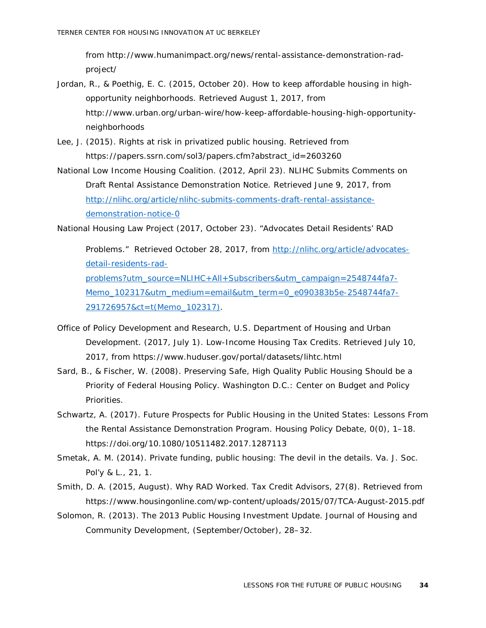from http://www.humanimpact.org/news/rental-assistance-demonstration-radproject/

- Jordan, R., & Poethig, E. C. (2015, October 20). How to keep affordable housing in highopportunity neighborhoods. Retrieved August 1, 2017, from http://www.urban.org/urban-wire/how-keep-affordable-housing-high-opportunityneighborhoods
- Lee, J. (2015). Rights at risk in privatized public housing. Retrieved from https://papers.ssrn.com/sol3/papers.cfm?abstract\_id=2603260
- National Low Income Housing Coalition. (2012, April 23). NLIHC Submits Comments on Draft Rental Assistance Demonstration Notice. Retrieved June 9, 2017, from [http://nlihc.org/article/nlihc-submits-comments-draft-rental-assistance](http://nlihc.org/article/nlihc-submits-comments-draft-rental-assistance-demonstration-notice-0)[demonstration-notice-0](http://nlihc.org/article/nlihc-submits-comments-draft-rental-assistance-demonstration-notice-0)

National Housing Law Project (2017, October 23). "Advocates Detail Residents' RAD

Problems." Retrieved October 28, 2017, from [http://nlihc.org/article/advocates](http://nlihc.org/article/advocates-detail-residents-rad-problems?utm_source=NLIHC+All+Subscribers&utm_campaign=2548744fa7-Memo_102317&utm_medium=email&utm_term=0_e090383b5e-2548744fa7-291726957&ct=t(Memo_102317))[detail-residents-rad](http://nlihc.org/article/advocates-detail-residents-rad-problems?utm_source=NLIHC+All+Subscribers&utm_campaign=2548744fa7-Memo_102317&utm_medium=email&utm_term=0_e090383b5e-2548744fa7-291726957&ct=t(Memo_102317))[problems?utm\\_source=NLIHC+All+Subscribers&utm\\_campaign=2548744fa7-](http://nlihc.org/article/advocates-detail-residents-rad-problems?utm_source=NLIHC+All+Subscribers&utm_campaign=2548744fa7-Memo_102317&utm_medium=email&utm_term=0_e090383b5e-2548744fa7-291726957&ct=t(Memo_102317)) [Memo\\_102317&utm\\_medium=email&utm\\_term=0\\_e090383b5e-2548744fa7-](http://nlihc.org/article/advocates-detail-residents-rad-problems?utm_source=NLIHC+All+Subscribers&utm_campaign=2548744fa7-Memo_102317&utm_medium=email&utm_term=0_e090383b5e-2548744fa7-291726957&ct=t(Memo_102317)) [291726957&ct=t\(Memo\\_102317\).](http://nlihc.org/article/advocates-detail-residents-rad-problems?utm_source=NLIHC+All+Subscribers&utm_campaign=2548744fa7-Memo_102317&utm_medium=email&utm_term=0_e090383b5e-2548744fa7-291726957&ct=t(Memo_102317))

- Office of Policy Development and Research, U.S. Department of Housing and Urban Development. (2017, July 1). Low-Income Housing Tax Credits. Retrieved July 10, 2017, from https://www.huduser.gov/portal/datasets/lihtc.html
- Sard, B., & Fischer, W. (2008). *Preserving Safe, High Quality Public Housing Should be a Priority of Federal Housing Policy*. Washington D.C.: Center on Budget and Policy Priorities.
- Schwartz, A. (2017). Future Prospects for Public Housing in the United States: Lessons From the Rental Assistance Demonstration Program. *Housing Policy Debate*, *0*(0), 1–18. https://doi.org/10.1080/10511482.2017.1287113
- Smetak, A. M. (2014). Private funding, public housing: The devil in the details. *Va. J. Soc. Pol'y & L.*, *21*, 1.
- Smith, D. A. (2015, August). Why RAD Worked. *Tax Credit Advisors*, *27*(8). Retrieved from https://www.housingonline.com/wp-content/uploads/2015/07/TCA-August-2015.pdf
- Solomon, R. (2013). The 2013 Public Housing Investment Update. *Journal of Housing and Community Development*, (September/October), 28–32.